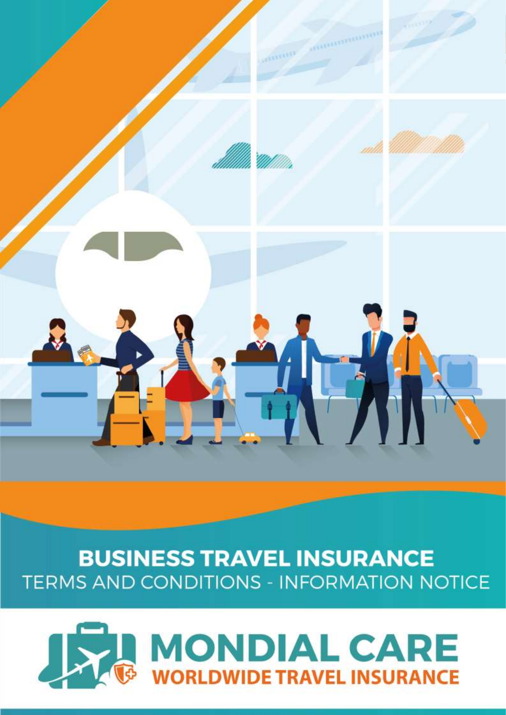

# **BUSINESS TRAVEL INSURANCE** TERMS AND CONDITIONS - INFORMATION NOTICE

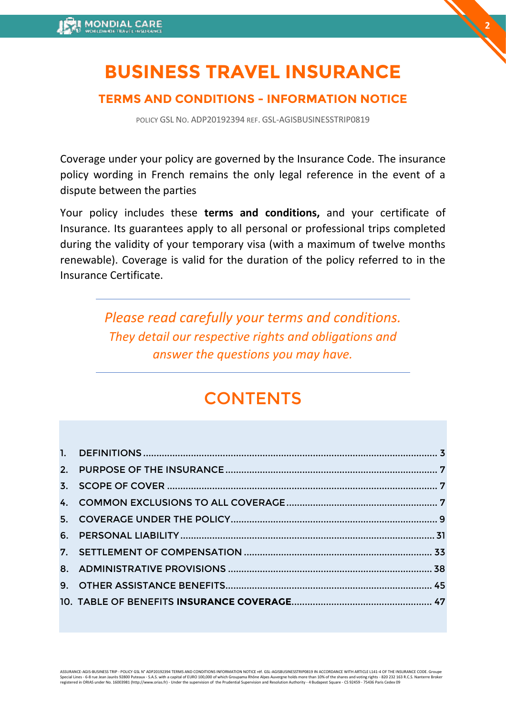# **BUSINESS TRAVEL INSURANCE**

**2**

# **TERMS AND CONDITIONS - INFORMATION NOTICE**

POLICY GSL NO. ADP20192394 REF. GSL-AGISBUSINESSTRIP0819

Coverage under your policy are governed by the Insurance Code. The insurance policy wording in French remains the only legal reference in the event of a dispute between the parties

Your policy includes these **terms and conditions,** and your certificate of Insurance. Its guarantees apply to all personal or professional trips completed during the validity of your temporary visa (with a maximum of twelve months renewable). Coverage is valid for the duration of the policy referred to in the Insurance Certificate.

> *Please read carefully your terms and conditions. They detail our respective rights and obligations and answer the questions you may have.*

# **CONTENTS**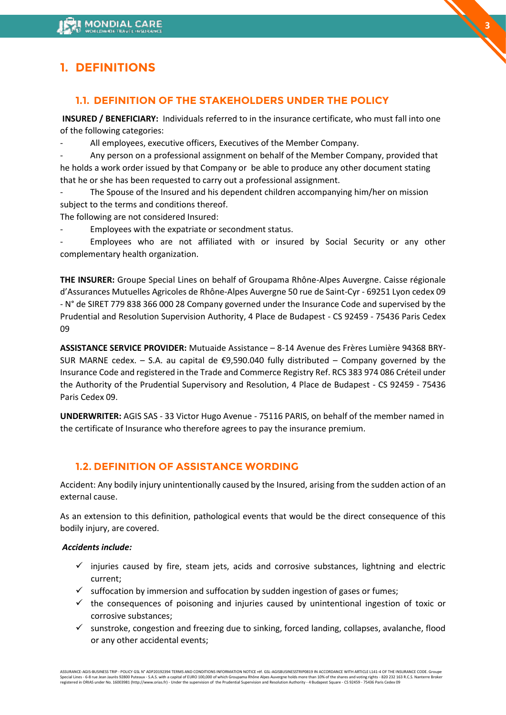# <span id="page-2-0"></span>**1. DEFINITIONS**

### **1.1. DEFINITION OF THE STAKEHOLDERS UNDER THE POLICY**

**INSURED / BENEFICIARY:** Individuals referred to in the insurance certificate, who must fall into one of the following categories:

All employees, executive officers, Executives of the Member Company.

- Any person on a professional assignment on behalf of the Member Company, provided that he holds a work order issued by that Company or be able to produce any other document stating that he or she has been requested to carry out a professional assignment.

The Spouse of the Insured and his dependent children accompanying him/her on mission subject to the terms and conditions thereof.

The following are not considered Insured:

Employees with the expatriate or secondment status.

Employees who are not affiliated with or insured by Social Security or any other complementary health organization.

**THE INSURER:** Groupe Special Lines on behalf of Groupama Rhône-Alpes Auvergne. Caisse régionale d'Assurances Mutuelles Agricoles de Rhône-Alpes Auvergne 50 rue de Saint-Cyr - 69251 Lyon cedex 09 - N° de SIRET 779 838 366 000 28 Company governed under the Insurance Code and supervised by the Prudential and Resolution Supervision Authority, 4 Place de Budapest - CS 92459 - 75436 Paris Cedex 09

**ASSISTANCE SERVICE PROVIDER:** Mutuaide Assistance – 8-14 Avenue des Frères Lumière 94368 BRY-SUR MARNE cedex. – S.A. au capital de  $\epsilon$ 9,590.040 fully distributed – Company governed by the Insurance Code and registered in the Trade and Commerce Registry Ref. RCS 383 974 086 Créteil under the Authority of the Prudential Supervisory and Resolution, 4 Place de Budapest - CS 92459 - 75436 Paris Cedex 09.

**UNDERWRITER:** AGIS SAS - 33 Victor Hugo Avenue - 75116 PARIS, on behalf of the member named in the certificate of Insurance who therefore agrees to pay the insurance premium.

### **1.2. DEFINITION OF ASSISTANCE WORDING**

Accident: Any bodily injury unintentionally caused by the Insured, arising from the sudden action of an external cause.

As an extension to this definition, pathological events that would be the direct consequence of this bodily injury, are covered.

#### *Accidents include:*

- $\checkmark$  injuries caused by fire, steam jets, acids and corrosive substances, lightning and electric current;
- $\checkmark$  suffocation by immersion and suffocation by sudden ingestion of gases or fumes;
- $\checkmark$  the consequences of poisoning and injuries caused by unintentional ingestion of toxic or corrosive substances;
- $\checkmark$  sunstroke, congestion and freezing due to sinking, forced landing, collapses, avalanche, flood or any other accidental events;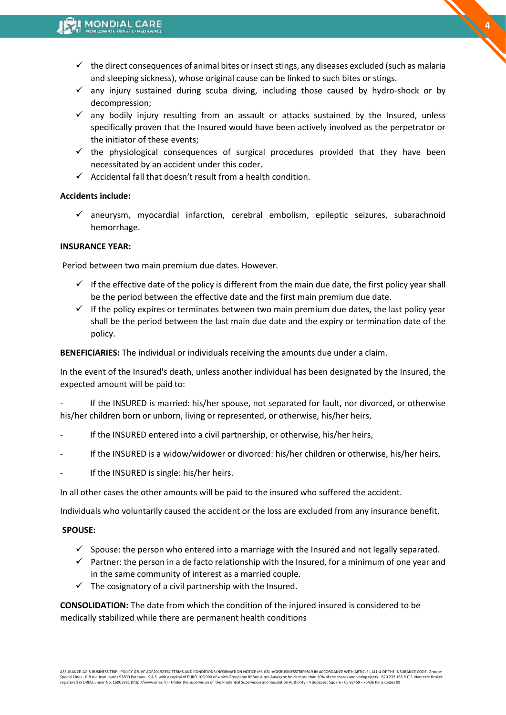$\checkmark$  the direct consequences of animal bites or insect stings, any diseases excluded (such as malaria and sleeping sickness), whose original cause can be linked to such bites or stings.

**4**

- $\checkmark$  any injury sustained during scuba diving, including those caused by hydro-shock or by decompression;
- $\checkmark$  any bodily injury resulting from an assault or attacks sustained by the Insured, unless specifically proven that the Insured would have been actively involved as the perpetrator or the initiator of these events;
- $\checkmark$  the physiological consequences of surgical procedures provided that they have been necessitated by an accident under this coder.
- $\checkmark$  Accidental fall that doesn't result from a health condition.

#### **Accidents include:**

 $\checkmark$  aneurysm, myocardial infarction, cerebral embolism, epileptic seizures, subarachnoid hemorrhage.

#### **INSURANCE YEAR:**

Period between two main premium due dates. However.

- $\checkmark$  If the effective date of the policy is different from the main due date, the first policy year shall be the period between the effective date and the first main premium due date.
- $\checkmark$  If the policy expires or terminates between two main premium due dates, the last policy year shall be the period between the last main due date and the expiry or termination date of the policy.

**BENEFICIARIES:** The individual or individuals receiving the amounts due under a claim.

In the event of the Insured's death, unless another individual has been designated by the Insured, the expected amount will be paid to:

If the INSURED is married: his/her spouse, not separated for fault, nor divorced, or otherwise his/her children born or unborn, living or represented, or otherwise, his/her heirs,

- If the INSURED entered into a civil partnership, or otherwise, his/her heirs,
- If the INSURED is a widow/widower or divorced: his/her children or otherwise, his/her heirs,
- If the INSURED is single: his/her heirs.

In all other cases the other amounts will be paid to the insured who suffered the accident.

Individuals who voluntarily caused the accident or the loss are excluded from any insurance benefit.

#### **SPOUSE:**

- $\checkmark$  Spouse: the person who entered into a marriage with the Insured and not legally separated.
- ✓ Partner: the person in a de facto relationship with the Insured, for a minimum of one year and in the same community of interest as a married couple.
- $\checkmark$  The cosignatory of a civil partnership with the Insured.

**CONSOLIDATION:** The date from which the condition of the injured insured is considered to be medically stabilized while there are permanent health conditions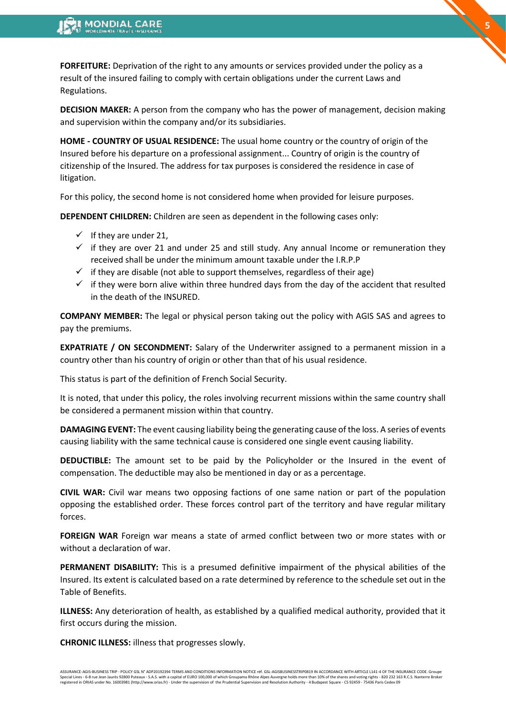**FORFEITURE:** Deprivation of the right to any amounts or services provided under the policy as a result of the insured failing to comply with certain obligations under the current Laws and Regulations.

**DECISION MAKER:** A person from the company who has the power of management, decision making and supervision within the company and/or its subsidiaries.

**5**

**HOME - COUNTRY OF USUAL RESIDENCE:** The usual home country or the country of origin of the Insured before his departure on a professional assignment... Country of origin is the country of citizenship of the Insured. The address for tax purposes is considered the residence in case of litigation.

For this policy, the second home is not considered home when provided for leisure purposes.

**DEPENDENT CHILDREN:** Children are seen as dependent in the following cases only:

- $\checkmark$  If they are under 21,
- $\checkmark$  if they are over 21 and under 25 and still study. Any annual Income or remuneration they received shall be under the minimum amount taxable under the I.R.P.P
- $\checkmark$  if they are disable (not able to support themselves, regardless of their age)
- $\checkmark$  if they were born alive within three hundred days from the day of the accident that resulted in the death of the INSURED.

**COMPANY MEMBER:** The legal or physical person taking out the policy with AGIS SAS and agrees to pay the premiums.

**EXPATRIATE / ON SECONDMENT:** Salary of the Underwriter assigned to a permanent mission in a country other than his country of origin or other than that of his usual residence.

This status is part of the definition of French Social Security.

It is noted, that under this policy, the roles involving recurrent missions within the same country shall be considered a permanent mission within that country.

**DAMAGING EVENT:** The event causing liability being the generating cause of the loss. A series of events causing liability with the same technical cause is considered one single event causing liability.

**DEDUCTIBLE:** The amount set to be paid by the Policyholder or the Insured in the event of compensation. The deductible may also be mentioned in day or as a percentage.

**CIVIL WAR:** Civil war means two opposing factions of one same nation or part of the population opposing the established order. These forces control part of the territory and have regular military forces.

**FOREIGN WAR** Foreign war means a state of armed conflict between two or more states with or without a declaration of war.

**PERMANENT DISABILITY:** This is a presumed definitive impairment of the physical abilities of the Insured. Its extent is calculated based on a rate determined by reference to the schedule set out in the Table of Benefits.

**ILLNESS:** Any deterioration of health, as established by a qualified medical authority, provided that it first occurs during the mission.

**CHRONIC ILLNESS:** illness that progresses slowly.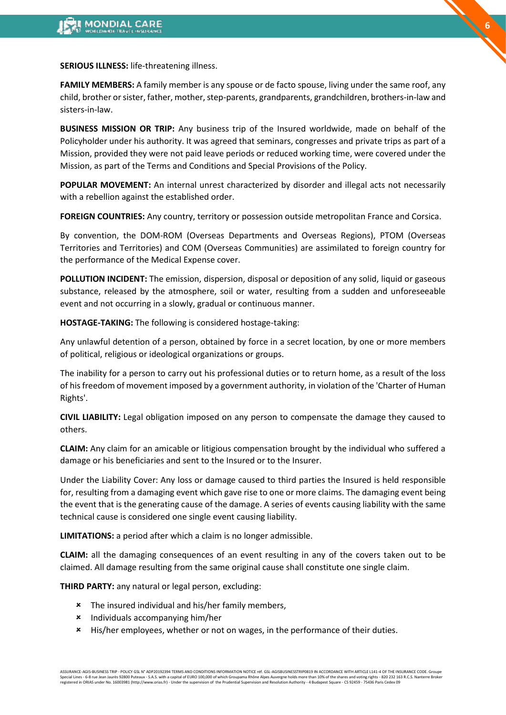**SERIOUS ILLNESS:** life-threatening illness.

**FAMILY MEMBERS:** A family member is any spouse or de facto spouse, living under the same roof, any child, brother or sister, father, mother, step-parents, grandparents, grandchildren, brothers-in-law and sisters-in-law.

**BUSINESS MISSION OR TRIP:** Any business trip of the Insured worldwide, made on behalf of the Policyholder under his authority. It was agreed that seminars, congresses and private trips as part of a Mission, provided they were not paid leave periods or reduced working time, were covered under the Mission, as part of the Terms and Conditions and Special Provisions of the Policy.

**POPULAR MOVEMENT:** An internal unrest characterized by disorder and illegal acts not necessarily with a rebellion against the established order.

**FOREIGN COUNTRIES:** Any country, territory or possession outside metropolitan France and Corsica.

By convention, the DOM-ROM (Overseas Departments and Overseas Regions), PTOM (Overseas Territories and Territories) and COM (Overseas Communities) are assimilated to foreign country for the performance of the Medical Expense cover.

**POLLUTION INCIDENT:** The emission, dispersion, disposal or deposition of any solid, liquid or gaseous substance, released by the atmosphere, soil or water, resulting from a sudden and unforeseeable event and not occurring in a slowly, gradual or continuous manner.

**HOSTAGE-TAKING:** The following is considered hostage-taking:

Any unlawful detention of a person, obtained by force in a secret location, by one or more members of political, religious or ideological organizations or groups.

The inability for a person to carry out his professional duties or to return home, as a result of the loss of his freedom of movement imposed by a government authority, in violation of the 'Charter of Human Rights'.

**CIVIL LIABILITY:** Legal obligation imposed on any person to compensate the damage they caused to others.

**CLAIM:** Any claim for an amicable or litigious compensation brought by the individual who suffered a damage or his beneficiaries and sent to the Insured or to the Insurer.

Under the Liability Cover: Any loss or damage caused to third parties the Insured is held responsible for, resulting from a damaging event which gave rise to one or more claims. The damaging event being the event that is the generating cause of the damage. A series of events causing liability with the same technical cause is considered one single event causing liability.

**LIMITATIONS:** a period after which a claim is no longer admissible.

**CLAIM:** all the damaging consequences of an event resulting in any of the covers taken out to be claimed. All damage resulting from the same original cause shall constitute one single claim.

**THIRD PARTY:** any natural or legal person, excluding:

- **\*** The insured individual and his/her family members,
- Individuals accompanying him/her
- His/her employees, whether or not on wages, in the performance of their duties.

**6**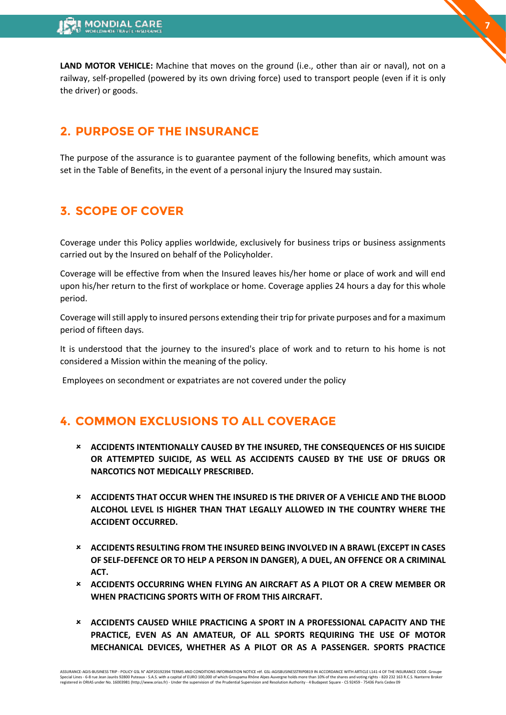LAND MOTOR VEHICLE: Machine that moves on the ground (i.e., other than air or naval), not on a railway, self-propelled (powered by its own driving force) used to transport people (even if it is only the driver) or goods.

**7**

## <span id="page-6-0"></span>**2. PURPOSE OF THE INSURANCE**

The purpose of the assurance is to guarantee payment of the following benefits, which amount was set in the Table of Benefits, in the event of a personal injury the Insured may sustain.

# <span id="page-6-1"></span>**3. SCOPE OF COVER**

Coverage under this Policy applies worldwide, exclusively for business trips or business assignments carried out by the Insured on behalf of the Policyholder.

Coverage will be effective from when the Insured leaves his/her home or place of work and will end upon his/her return to the first of workplace or home. Coverage applies 24 hours a day for this whole period.

Coverage will still apply to insured persons extending their trip for private purposes and for a maximum period of fifteen days.

It is understood that the journey to the insured's place of work and to return to his home is not considered a Mission within the meaning of the policy.

Employees on secondment or expatriates are not covered under the policy

# <span id="page-6-2"></span>**4. COMMON EXCLUSIONS TO ALL COVERAGE**

- **ACCIDENTS INTENTIONALLY CAUSED BY THE INSURED, THE CONSEQUENCES OF HIS SUICIDE OR ATTEMPTED SUICIDE, AS WELL AS ACCIDENTS CAUSED BY THE USE OF DRUGS OR NARCOTICS NOT MEDICALLY PRESCRIBED.**
- **ACCIDENTS THAT OCCUR WHEN THE INSURED IS THE DRIVER OF A VEHICLE AND THE BLOOD ALCOHOL LEVEL IS HIGHER THAN THAT LEGALLY ALLOWED IN THE COUNTRY WHERE THE ACCIDENT OCCURRED.**
- **ACCIDENTS RESULTING FROM THE INSURED BEING INVOLVED IN A BRAWL (EXCEPT IN CASES OF SELF-DEFENCE OR TO HELP A PERSON IN DANGER), A DUEL, AN OFFENCE OR A CRIMINAL ACT.**
- **ACCIDENTS OCCURRING WHEN FLYING AN AIRCRAFT AS A PILOT OR A CREW MEMBER OR WHEN PRACTICING SPORTS WITH OF FROM THIS AIRCRAFT.**
- **ACCIDENTS CAUSED WHILE PRACTICING A SPORT IN A PROFESSIONAL CAPACITY AND THE PRACTICE, EVEN AS AN AMATEUR, OF ALL SPORTS REQUIRING THE USE OF MOTOR MECHANICAL DEVICES, WHETHER AS A PILOT OR AS A PASSENGER. SPORTS PRACTICE**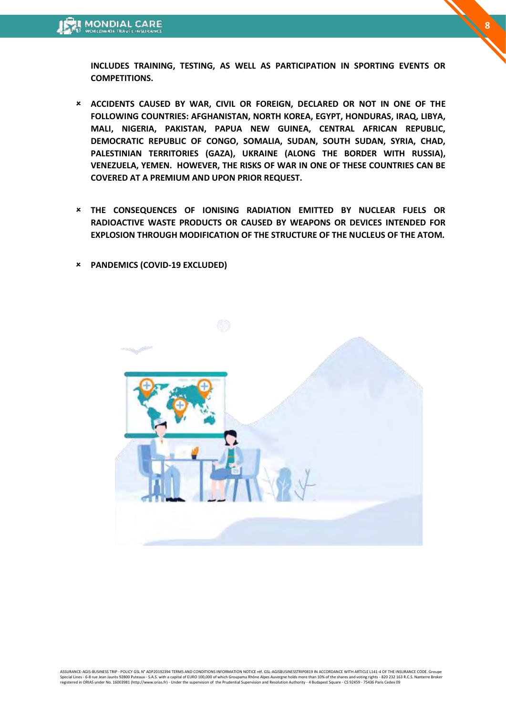**INCLUDES TRAINING, TESTING, AS WELL AS PARTICIPATION IN SPORTING EVENTS OR COMPETITIONS.** 

**8**

- **ACCIDENTS CAUSED BY WAR, CIVIL OR FOREIGN, DECLARED OR NOT IN ONE OF THE FOLLOWING COUNTRIES: AFGHANISTAN, NORTH KOREA, EGYPT, HONDURAS, IRAQ, LIBYA, MALI, NIGERIA, PAKISTAN, PAPUA NEW GUINEA, CENTRAL AFRICAN REPUBLIC, DEMOCRATIC REPUBLIC OF CONGO, SOMALIA, SUDAN, SOUTH SUDAN, SYRIA, CHAD, PALESTINIAN TERRITORIES (GAZA), UKRAINE (ALONG THE BORDER WITH RUSSIA), VENEZUELA, YEMEN. HOWEVER, THE RISKS OF WAR IN ONE OF THESE COUNTRIES CAN BE COVERED AT A PREMIUM AND UPON PRIOR REQUEST.**
- **THE CONSEQUENCES OF IONISING RADIATION EMITTED BY NUCLEAR FUELS OR RADIOACTIVE WASTE PRODUCTS OR CAUSED BY WEAPONS OR DEVICES INTENDED FOR EXPLOSION THROUGH MODIFICATION OF THE STRUCTURE OF THE NUCLEUS OF THE ATOM.**
- **PANDEMICS (COVID-19 EXCLUDED)**

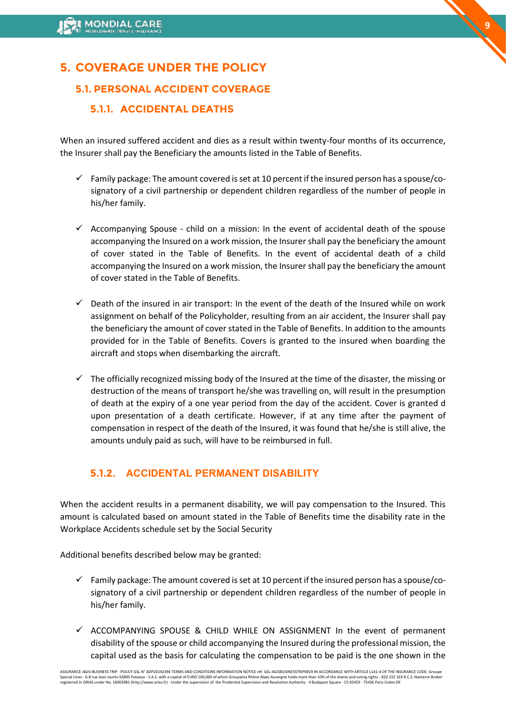# <span id="page-8-0"></span>**5. COVERAGE UNDER THE POLICY**

### **5.1. PERSONAL ACCIDENT COVERAGE**

### **5.1.1. ACCIDENTAL DEATHS**

When an insured suffered accident and dies as a result within twenty-four months of its occurrence, the Insurer shall pay the Beneficiary the amounts listed in the Table of Benefits.

- $\checkmark$  Family package: The amount covered is set at 10 percent if the insured person has a spouse/cosignatory of a civil partnership or dependent children regardless of the number of people in his/her family.
- $\checkmark$  Accompanying Spouse child on a mission: In the event of accidental death of the spouse accompanying the Insured on a work mission, the Insurer shall pay the beneficiary the amount of cover stated in the Table of Benefits. In the event of accidental death of a child accompanying the Insured on a work mission, the Insurer shall pay the beneficiary the amount of cover stated in the Table of Benefits.
- $\checkmark$  Death of the insured in air transport: In the event of the death of the Insured while on work assignment on behalf of the Policyholder, resulting from an air accident, the Insurer shall pay the beneficiary the amount of cover stated in the Table of Benefits. In addition to the amounts provided for in the Table of Benefits. Covers is granted to the insured when boarding the aircraft and stops when disembarking the aircraft.
- $\checkmark$  The officially recognized missing body of the Insured at the time of the disaster, the missing or destruction of the means of transport he/she was travelling on, will result in the presumption of death at the expiry of a one year period from the day of the accident. Cover is granted d upon presentation of a death certificate. However, if at any time after the payment of compensation in respect of the death of the Insured, it was found that he/she is still alive, the amounts unduly paid as such, will have to be reimbursed in full.

### **5.1.2. ACCIDENTAL PERMANENT DISABILITY**

When the accident results in a permanent disability, we will pay compensation to the Insured. This amount is calculated based on amount stated in the Table of Benefits time the disability rate in the Workplace Accidents schedule set by the Social Security

Additional benefits described below may be granted:

- $\checkmark$  Family package: The amount covered is set at 10 percent if the insured person has a spouse/cosignatory of a civil partnership or dependent children regardless of the number of people in his/her family.
- ✓ ACCOMPANYING SPOUSE & CHILD WHILE ON ASSIGNMENT In the event of permanent disability of the spouse or child accompanying the Insured during the professional mission, the capital used as the basis for calculating the compensation to be paid is the one shown in the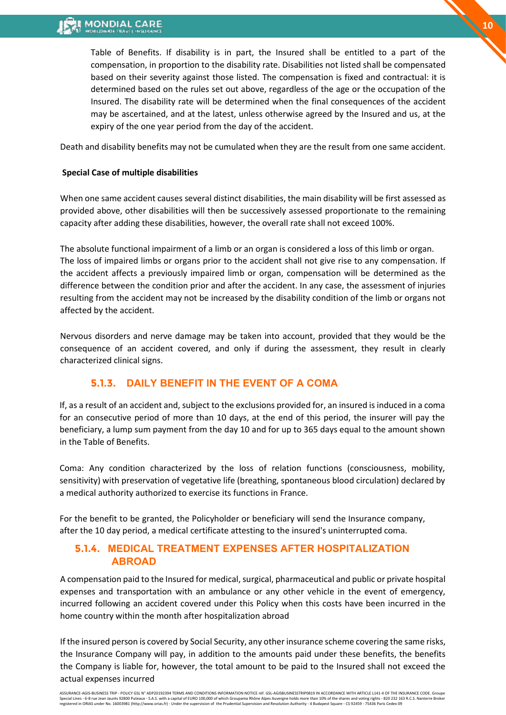Table of Benefits. If disability is in part, the Insured shall be entitled to a part of the compensation, in proportion to the disability rate. Disabilities not listed shall be compensated based on their severity against those listed. The compensation is fixed and contractual: it is determined based on the rules set out above, regardless of the age or the occupation of the Insured. The disability rate will be determined when the final consequences of the accident may be ascertained, and at the latest, unless otherwise agreed by the Insured and us, at the expiry of the one year period from the day of the accident.

Death and disability benefits may not be cumulated when they are the result from one same accident.

#### **Special Case of multiple disabilities**

When one same accident causes several distinct disabilities, the main disability will be first assessed as provided above, other disabilities will then be successively assessed proportionate to the remaining capacity after adding these disabilities, however, the overall rate shall not exceed 100%.

The absolute functional impairment of a limb or an organ is considered a loss of this limb or organ. The loss of impaired limbs or organs prior to the accident shall not give rise to any compensation. If the accident affects a previously impaired limb or organ, compensation will be determined as the difference between the condition prior and after the accident. In any case, the assessment of injuries resulting from the accident may not be increased by the disability condition of the limb or organs not affected by the accident.

Nervous disorders and nerve damage may be taken into account, provided that they would be the consequence of an accident covered, and only if during the assessment, they result in clearly characterized clinical signs.

### **5.1.3. DAILY BENEFIT IN THE EVENT OF A COMA**

If, as a result of an accident and, subject to the exclusions provided for, an insured is induced in a coma for an consecutive period of more than 10 days, at the end of this period, the insurer will pay the beneficiary, a lump sum payment from the day 10 and for up to 365 days equal to the amount shown in the Table of Benefits.

Coma: Any condition characterized by the loss of relation functions (consciousness, mobility, sensitivity) with preservation of vegetative life (breathing, spontaneous blood circulation) declared by a medical authority authorized to exercise its functions in France.

For the benefit to be granted, the Policyholder or beneficiary will send the Insurance company, after the 10 day period, a medical certificate attesting to the insured's uninterrupted coma.

### **5.1.4. MEDICAL TREATMENT EXPENSES AFTER HOSPITALIZATION ABROAD**

A compensation paid to the Insured for medical, surgical, pharmaceutical and public or private hospital expenses and transportation with an ambulance or any other vehicle in the event of emergency, incurred following an accident covered under this Policy when this costs have been incurred in the home country within the month after hospitalization abroad

If the insured person is covered by Social Security, any other insurance scheme covering the same risks, the Insurance Company will pay, in addition to the amounts paid under these benefits, the benefits the Company is liable for, however, the total amount to be paid to the Insured shall not exceed the actual expenses incurred

ASSURANCE-AGIS-BUSINESS TRIP - POLICY GSL N° ADP20192394 TERMS AND CONDITIONS INFORMATION NOTICE réf. GSL-AGISBUSINESSTRIP0819 IN ACCORDANCE WITH ARTICLE L141-4 OF THE INSURANCE CODE. Groupe<br>Special Lines - 6-8 rue Jean Ja registered in ORIAS under No. 16003981 (http://www.orias.fr) - Under the supervision of the Prudential Supervision and Resolution Authority - 4 Budapest Square - CS 92459 - 75436 Paris Cedex 09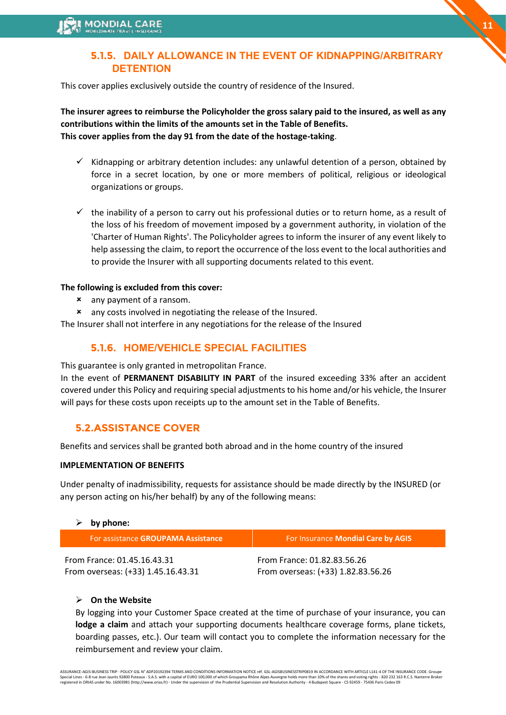### **5.1.5. DAILY ALLOWANCE IN THE EVENT OF KIDNAPPING/ARBITRARY DETENTION**

**11**

This cover applies exclusively outside the country of residence of the Insured.

**The insurer agrees to reimburse the Policyholder the gross salary paid to the insured, as well as any contributions within the limits of the amounts set in the Table of Benefits. This cover applies from the day 91 from the date of the hostage-taking**.

- $\checkmark$  Kidnapping or arbitrary detention includes: any unlawful detention of a person, obtained by force in a secret location, by one or more members of political, religious or ideological organizations or groups.
- $\checkmark$  the inability of a person to carry out his professional duties or to return home, as a result of the loss of his freedom of movement imposed by a government authority, in violation of the 'Charter of Human Rights'. The Policyholder agrees to inform the insurer of any event likely to help assessing the claim, to report the occurrence of the loss event to the local authorities and to provide the Insurer with all supporting documents related to this event.

#### **The following is excluded from this cover:**

- any payment of a ransom.
- any costs involved in negotiating the release of the Insured.
- The Insurer shall not interfere in any negotiations for the release of the Insured

### **5.1.6. HOME/VEHICLE SPECIAL FACILITIES**

This guarantee is only granted in metropolitan France.

In the event of **PERMANENT DISABILITY IN PART** of the insured exceeding 33% after an accident covered under this Policy and requiring special adjustments to his home and/or his vehicle, the Insurer will pays for these costs upon receipts up to the amount set in the Table of Benefits.

### **5.2.ASSISTANCE COVER**

Benefits and services shall be granted both abroad and in the home country of the insured

#### **IMPLEMENTATION OF BENEFITS**

Under penalty of inadmissibility, requests for assistance should be made directly by the INSURED (or any person acting on his/her behalf) by any of the following means:

#### ➢ **by phone:**

| For assistance GROUPAMA Assistance | For Insurance Mondial Care by AGIS |
|------------------------------------|------------------------------------|
| From France: 01.45.16.43.31        | From France: 01.82.83.56.26        |
| From overseas: (+33) 1.45.16.43.31 | From overseas: (+33) 1.82.83.56.26 |

#### ➢ **On the Website**

By logging into your Customer Space created at the time of purchase of your insurance, you can **lodge a claim** and attach your supporting documents healthcare coverage forms, plane tickets, boarding passes, etc.). Our team will contact you to complete the information necessary for the reimbursement and review your claim.

ASSURANCE-AGIS-BUSINESS TRIP - POLICY GSL N° ADP20192394 TERMS AND CONDITIONS INFORMATION NOTICE réf. GSL-AGISBUSINESSTRIP0819 IN ACCORDANCE WITH ARTICLE L141-4 OF THE INSURANCE CODE. Groupe Special Lines - 6-8 rue Jean Jaurès 92800 Puteaux - S.A.S. with a capital of EURO 100,000 of which Groupama Rhône Alpes Auvergne holds more than 10% of the shares and voting rights - 820 232 163 R.C.S. Nanterre Broker<br>regi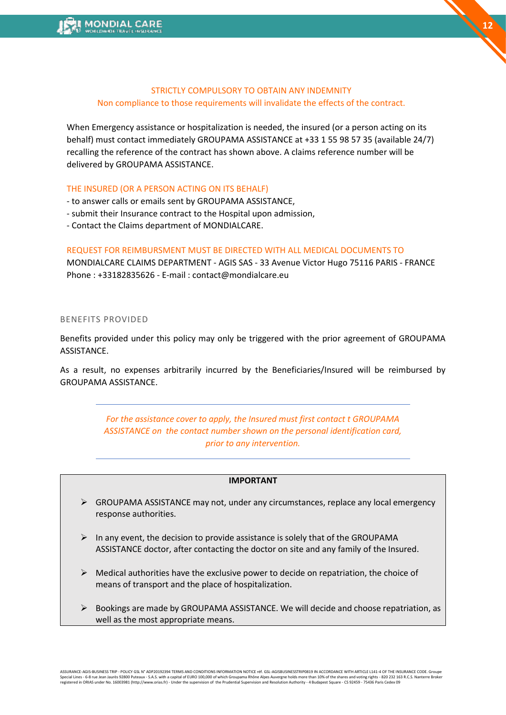#### STRICTLY COMPULSORY TO OBTAIN ANY INDEMNITY Non compliance to those requirements will invalidate the effects of the contract.

When Emergency assistance or hospitalization is needed, the insured (or a person acting on its behalf) must contact immediately GROUPAMA ASSISTANCE at +33 1 55 98 57 35 (available 24/7) recalling the reference of the contract has shown above. A claims reference number will be delivered by GROUPAMA ASSISTANCE.

#### THE INSURED (OR A PERSON ACTING ON ITS BEHALF)

- to answer calls or emails sent by GROUPAMA ASSISTANCE,

- submit their Insurance contract to the Hospital upon admission,
- Contact the Claims department of MONDIALCARE.

#### REQUEST FOR REIMBURSMENT MUST BE DIRECTED WITH ALL MEDICAL DOCUMENTS TO

MONDIALCARE CLAIMS DEPARTMENT - AGIS SAS - 33 Avenue Victor Hugo 75116 PARIS - FRANCE Phone : +33182835626 - E-mail : contact@mondialcare.eu

#### BENEFITS PROVIDED

Benefits provided under this policy may only be triggered with the prior agreement of GROUPAMA ASSISTANCE.

As a result, no expenses arbitrarily incurred by the Beneficiaries/Insured will be reimbursed by GROUPAMA ASSISTANCE.

> *For the assistance cover to apply, the Insured must first contact t GROUPAMA ASSISTANCE on the contact number shown on the personal identification card, prior to any intervention.*

#### **IMPORTANT**

- $\triangleright$  GROUPAMA ASSISTANCE may not, under any circumstances, replace any local emergency response authorities.
- $\triangleright$  In any event, the decision to provide assistance is solely that of the GROUPAMA ASSISTANCE doctor, after contacting the doctor on site and any family of the Insured.
- $\triangleright$  Medical authorities have the exclusive power to decide on repatriation, the choice of means of transport and the place of hospitalization.
- ➢ Bookings are made by GROUPAMA ASSISTANCE. We will decide and choose repatriation, as well as the most appropriate means.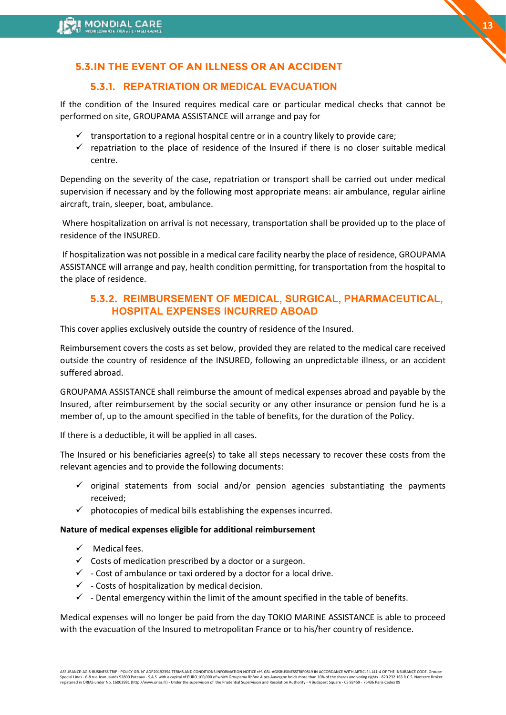### **5.3.IN THE EVENT OF AN ILLNESS OR AN ACCIDENT**

### **5.3.1. REPATRIATION OR MEDICAL EVACUATION**

If the condition of the Insured requires medical care or particular medical checks that cannot be performed on site, GROUPAMA ASSISTANCE will arrange and pay for

- $\checkmark$  transportation to a regional hospital centre or in a country likely to provide care;
- $\checkmark$  repatriation to the place of residence of the Insured if there is no closer suitable medical centre.

Depending on the severity of the case, repatriation or transport shall be carried out under medical supervision if necessary and by the following most appropriate means: air ambulance, regular airline aircraft, train, sleeper, boat, ambulance.

Where hospitalization on arrival is not necessary, transportation shall be provided up to the place of residence of the INSURED.

If hospitalization was not possible in a medical care facility nearby the place of residence, GROUPAMA ASSISTANCE will arrange and pay, health condition permitting, for transportation from the hospital to the place of residence.

### **5.3.2. REIMBURSEMENT OF MEDICAL, SURGICAL, PHARMACEUTICAL, HOSPITAL EXPENSES INCURRED ABOAD**

This cover applies exclusively outside the country of residence of the Insured.

Reimbursement covers the costs as set below, provided they are related to the medical care received outside the country of residence of the INSURED, following an unpredictable illness, or an accident suffered abroad.

GROUPAMA ASSISTANCE shall reimburse the amount of medical expenses abroad and payable by the Insured, after reimbursement by the social security or any other insurance or pension fund he is a member of, up to the amount specified in the table of benefits, for the duration of the Policy.

If there is a deductible, it will be applied in all cases.

The Insured or his beneficiaries agree(s) to take all steps necessary to recover these costs from the relevant agencies and to provide the following documents:

- $\checkmark$  original statements from social and/or pension agencies substantiating the payments received;
- $\checkmark$  photocopies of medical bills establishing the expenses incurred.

#### **Nature of medical expenses eligible for additional reimbursement**

- $\checkmark$  Medical fees.
- $\checkmark$  Costs of medication prescribed by a doctor or a surgeon.
- $\checkmark$  Cost of ambulance or taxi ordered by a doctor for a local drive.
- $\checkmark$  Costs of hospitalization by medical decision.
- $\checkmark$  Dental emergency within the limit of the amount specified in the table of benefits.

Medical expenses will no longer be paid from the day TOKIO MARINE ASSISTANCE is able to proceed with the evacuation of the Insured to metropolitan France or to his/her country of residence.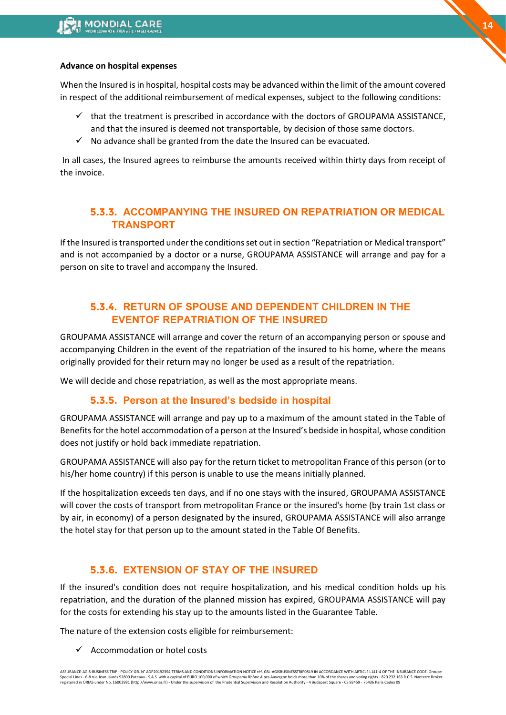#### **Advance on hospital expenses**

When the Insured is in hospital, hospital costs may be advanced within the limit of the amount covered in respect of the additional reimbursement of medical expenses, subject to the following conditions:

- $\checkmark$  that the treatment is prescribed in accordance with the doctors of GROUPAMA ASSISTANCE, and that the insured is deemed not transportable, by decision of those same doctors.
- $\checkmark$  No advance shall be granted from the date the Insured can be evacuated.

In all cases, the Insured agrees to reimburse the amounts received within thirty days from receipt of the invoice.

### **5.3.3. ACCOMPANYING THE INSURED ON REPATRIATION OR MEDICAL TRANSPORT**

If the Insured is transported under the conditions set out in section "Repatriation or Medical transport" and is not accompanied by a doctor or a nurse, GROUPAMA ASSISTANCE will arrange and pay for a person on site to travel and accompany the Insured.

### **5.3.4. RETURN OF SPOUSE AND DEPENDENT CHILDREN IN THE EVENTOF REPATRIATION OF THE INSURED**

GROUPAMA ASSISTANCE will arrange and cover the return of an accompanying person or spouse and accompanying Children in the event of the repatriation of the insured to his home, where the means originally provided for their return may no longer be used as a result of the repatriation.

We will decide and chose repatriation, as well as the most appropriate means.

#### **5.3.5. Person at the Insured's bedside in hospital**

GROUPAMA ASSISTANCE will arrange and pay up to a maximum of the amount stated in the Table of Benefits for the hotel accommodation of a person at the Insured's bedside in hospital, whose condition does not justify or hold back immediate repatriation.

GROUPAMA ASSISTANCE will also pay for the return ticket to metropolitan France of this person (or to his/her home country) if this person is unable to use the means initially planned.

If the hospitalization exceeds ten days, and if no one stays with the insured, GROUPAMA ASSISTANCE will cover the costs of transport from metropolitan France or the insured's home (by train 1st class or by air, in economy) of a person designated by the insured, GROUPAMA ASSISTANCE will also arrange the hotel stay for that person up to the amount stated in the Table Of Benefits.

#### **5.3.6. EXTENSION OF STAY OF THE INSURED**

If the insured's condition does not require hospitalization, and his medical condition holds up his repatriation, and the duration of the planned mission has expired, GROUPAMA ASSISTANCE will pay for the costs for extending his stay up to the amounts listed in the Guarantee Table.

The nature of the extension costs eligible for reimbursement:

 $\checkmark$  Accommodation or hotel costs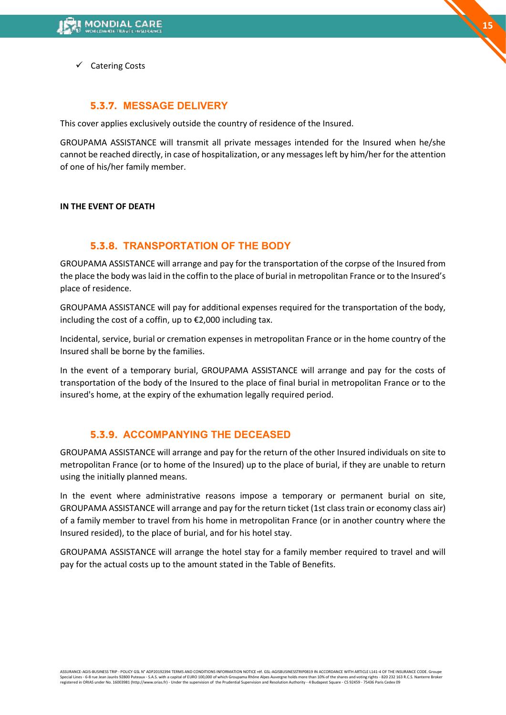Catering Costs

### **5.3.7. MESSAGE DELIVERY**

This cover applies exclusively outside the country of residence of the Insured.

GROUPAMA ASSISTANCE will transmit all private messages intended for the Insured when he/she cannot be reached directly, in case of hospitalization, or any messages left by him/her for the attention of one of his/her family member.

#### **IN THE EVENT OF DEATH**

### **5.3.8. TRANSPORTATION OF THE BODY**

GROUPAMA ASSISTANCE will arrange and pay for the transportation of the corpse of the Insured from the place the body was laid in the coffin to the place of burial in metropolitan France or to the Insured's place of residence.

GROUPAMA ASSISTANCE will pay for additional expenses required for the transportation of the body, including the cost of a coffin, up to €2,000 including tax.

Incidental, service, burial or cremation expenses in metropolitan France or in the home country of the Insured shall be borne by the families.

In the event of a temporary burial, GROUPAMA ASSISTANCE will arrange and pay for the costs of transportation of the body of the Insured to the place of final burial in metropolitan France or to the insured's home, at the expiry of the exhumation legally required period.

### **5.3.9. ACCOMPANYING THE DECEASED**

GROUPAMA ASSISTANCE will arrange and pay for the return of the other Insured individuals on site to metropolitan France (or to home of the Insured) up to the place of burial, if they are unable to return using the initially planned means.

In the event where administrative reasons impose a temporary or permanent burial on site, GROUPAMA ASSISTANCE will arrange and pay for the return ticket (1st class train or economy class air) of a family member to travel from his home in metropolitan France (or in another country where the Insured resided), to the place of burial, and for his hotel stay.

GROUPAMA ASSISTANCE will arrange the hotel stay for a family member required to travel and will pay for the actual costs up to the amount stated in the Table of Benefits.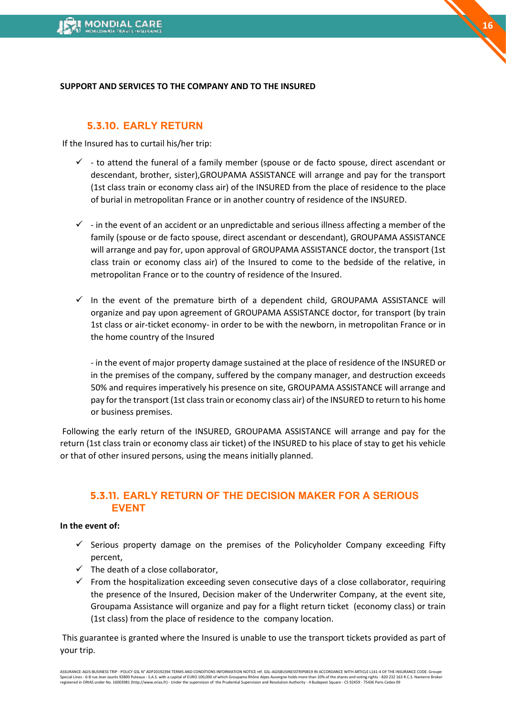#### **SUPPORT AND SERVICES TO THE COMPANY AND TO THE INSURED**

### **5.3.10. EARLY RETURN**

If the Insured has to curtail his/her trip:

- $\checkmark$  to attend the funeral of a family member (spouse or de facto spouse, direct ascendant or descendant, brother, sister),GROUPAMA ASSISTANCE will arrange and pay for the transport (1st class train or economy class air) of the INSURED from the place of residence to the place of burial in metropolitan France or in another country of residence of the INSURED.
- $\checkmark$  in the event of an accident or an unpredictable and serious illness affecting a member of the family (spouse or de facto spouse, direct ascendant or descendant), GROUPAMA ASSISTANCE will arrange and pay for, upon approval of GROUPAMA ASSISTANCE doctor, the transport (1st class train or economy class air) of the Insured to come to the bedside of the relative, in metropolitan France or to the country of residence of the Insured.
- $\checkmark$  In the event of the premature birth of a dependent child, GROUPAMA ASSISTANCE will organize and pay upon agreement of GROUPAMA ASSISTANCE doctor, for transport (by train 1st class or air-ticket economy- in order to be with the newborn, in metropolitan France or in the home country of the Insured

- in the event of major property damage sustained at the place of residence of the INSURED or in the premises of the company, suffered by the company manager, and destruction exceeds 50% and requires imperatively his presence on site, GROUPAMA ASSISTANCE will arrange and pay for the transport (1st class train or economy class air) of the INSURED to return to his home or business premises.

Following the early return of the INSURED, GROUPAMA ASSISTANCE will arrange and pay for the return (1st class train or economy class air ticket) of the INSURED to his place of stay to get his vehicle or that of other insured persons, using the means initially planned.

### **5.3.11. EARLY RETURN OF THE DECISION MAKER FOR A SERIOUS EVENT**

#### **In the event of:**

- $\checkmark$  Serious property damage on the premises of the Policyholder Company exceeding Fifty percent,
- $\checkmark$  The death of a close collaborator.
- $\checkmark$  From the hospitalization exceeding seven consecutive days of a close collaborator, requiring the presence of the Insured, Decision maker of the Underwriter Company, at the event site, Groupama Assistance will organize and pay for a flight return ticket (economy class) or train (1st class) from the place of residence to the company location.

This guarantee is granted where the Insured is unable to use the transport tickets provided as part of your trip.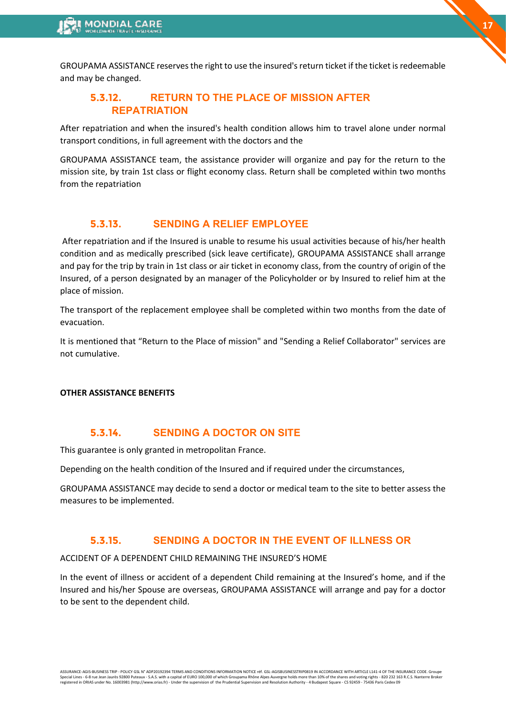GROUPAMA ASSISTANCE reserves the right to use the insured's return ticket if the ticket is redeemable and may be changed.

**17**

### **5.3.12. RETURN TO THE PLACE OF MISSION AFTER REPATRIATION**

After repatriation and when the insured's health condition allows him to travel alone under normal transport conditions, in full agreement with the doctors and the

GROUPAMA ASSISTANCE team, the assistance provider will organize and pay for the return to the mission site, by train 1st class or flight economy class. Return shall be completed within two months from the repatriation

### **5.3.13. SENDING A RELIEF EMPLOYEE**

After repatriation and if the Insured is unable to resume his usual activities because of his/her health condition and as medically prescribed (sick leave certificate), GROUPAMA ASSISTANCE shall arrange and pay for the trip by train in 1st class or air ticket in economy class, from the country of origin of the Insured, of a person designated by an manager of the Policyholder or by Insured to relief him at the place of mission.

The transport of the replacement employee shall be completed within two months from the date of evacuation.

It is mentioned that "Return to the Place of mission" and "Sending a Relief Collaborator" services are not cumulative.

#### **OTHER ASSISTANCE BENEFITS**

#### **5.3.14. SENDING A DOCTOR ON SITE**

This guarantee is only granted in metropolitan France.

Depending on the health condition of the Insured and if required under the circumstances,

GROUPAMA ASSISTANCE may decide to send a doctor or medical team to the site to better assess the measures to be implemented.

### **5.3.15. SENDING A DOCTOR IN THE EVENT OF ILLNESS OR**

ACCIDENT OF A DEPENDENT CHILD REMAINING THE INSURED'S HOME

In the event of illness or accident of a dependent Child remaining at the Insured's home, and if the Insured and his/her Spouse are overseas, GROUPAMA ASSISTANCE will arrange and pay for a doctor to be sent to the dependent child.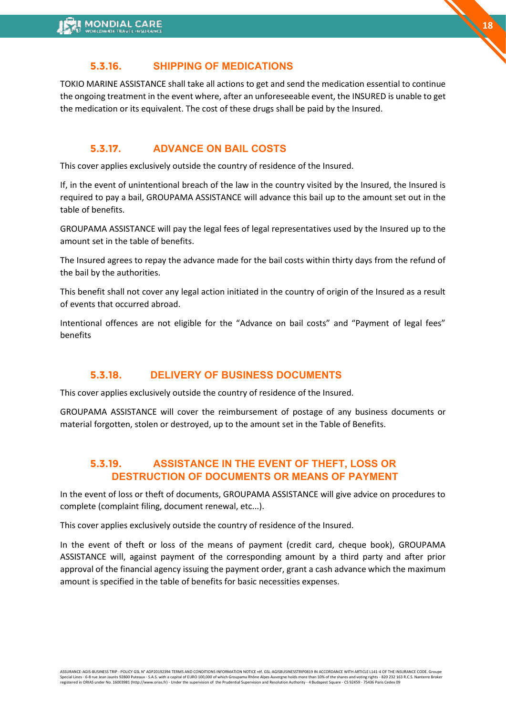### **5.3.16. SHIPPING OF MEDICATIONS**

TOKIO MARINE ASSISTANCE shall take all actions to get and send the medication essential to continue the ongoing treatment in the event where, after an unforeseeable event, the INSURED is unable to get the medication or its equivalent. The cost of these drugs shall be paid by the Insured.

### **5.3.17. ADVANCE ON BAIL COSTS**

This cover applies exclusively outside the country of residence of the Insured.

If, in the event of unintentional breach of the law in the country visited by the Insured, the Insured is required to pay a bail, GROUPAMA ASSISTANCE will advance this bail up to the amount set out in the table of benefits.

GROUPAMA ASSISTANCE will pay the legal fees of legal representatives used by the Insured up to the amount set in the table of benefits.

The Insured agrees to repay the advance made for the bail costs within thirty days from the refund of the bail by the authorities.

This benefit shall not cover any legal action initiated in the country of origin of the Insured as a result of events that occurred abroad.

Intentional offences are not eligible for the "Advance on bail costs" and "Payment of legal fees" benefits

### **5.3.18. DELIVERY OF BUSINESS DOCUMENTS**

This cover applies exclusively outside the country of residence of the Insured.

GROUPAMA ASSISTANCE will cover the reimbursement of postage of any business documents or material forgotten, stolen or destroyed, up to the amount set in the Table of Benefits.

### **5.3.19. ASSISTANCE IN THE EVENT OF THEFT, LOSS OR DESTRUCTION OF DOCUMENTS OR MEANS OF PAYMENT**

In the event of loss or theft of documents, GROUPAMA ASSISTANCE will give advice on procedures to complete (complaint filing, document renewal, etc...).

This cover applies exclusively outside the country of residence of the Insured.

In the event of theft or loss of the means of payment (credit card, cheque book), GROUPAMA ASSISTANCE will, against payment of the corresponding amount by a third party and after prior approval of the financial agency issuing the payment order, grant a cash advance which the maximum amount is specified in the table of benefits for basic necessities expenses.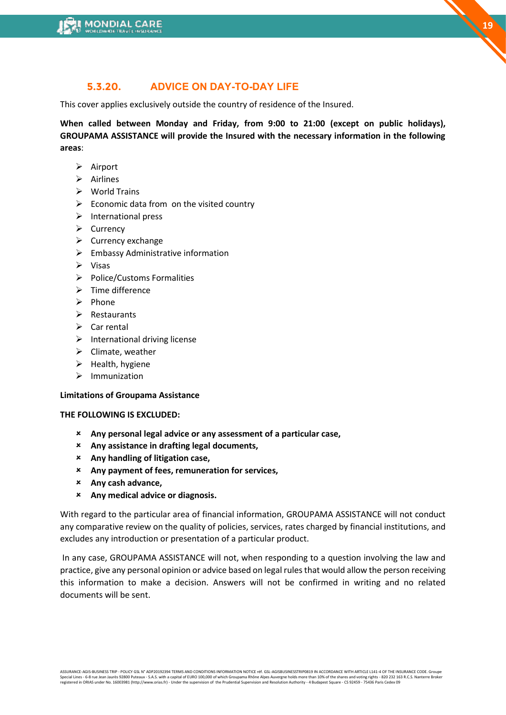### **5.3.20. ADVICE ON DAY-TO-DAY LIFE**

This cover applies exclusively outside the country of residence of the Insured.

**When called between Monday and Friday, from 9:00 to 21:00 (except on public holidays), GROUPAMA ASSISTANCE will provide the Insured with the necessary information in the following areas**:

- ➢ Airport
- ➢ Airlines
- ➢ World Trains
- $\triangleright$  Economic data from on the visited country
- $\triangleright$  International press
- ➢ Currency
- ➢ Currency exchange
- $\triangleright$  Embassy Administrative information
- ➢ Visas
- ➢ Police/Customs Formalities
- ➢ Time difference
- ➢ Phone
- ➢ Restaurants
- $\triangleright$  Car rental
- $\triangleright$  International driving license
- ➢ Climate, weather
- ➢ Health, hygiene
- ➢ Immunization

#### **Limitations of Groupama Assistance**

#### **THE FOLLOWING IS EXCLUDED:**

- **Any personal legal advice or any assessment of a particular case,**
- **Any assistance in drafting legal documents,**
- **Any handling of litigation case,**
- **Any payment of fees, remuneration for services,**
- **Any cash advance,**
- **Any medical advice or diagnosis.**

With regard to the particular area of financial information, GROUPAMA ASSISTANCE will not conduct any comparative review on the quality of policies, services, rates charged by financial institutions, and excludes any introduction or presentation of a particular product.

In any case, GROUPAMA ASSISTANCE will not, when responding to a question involving the law and practice, give any personal opinion or advice based on legal rules that would allow the person receiving this information to make a decision. Answers will not be confirmed in writing and no related documents will be sent.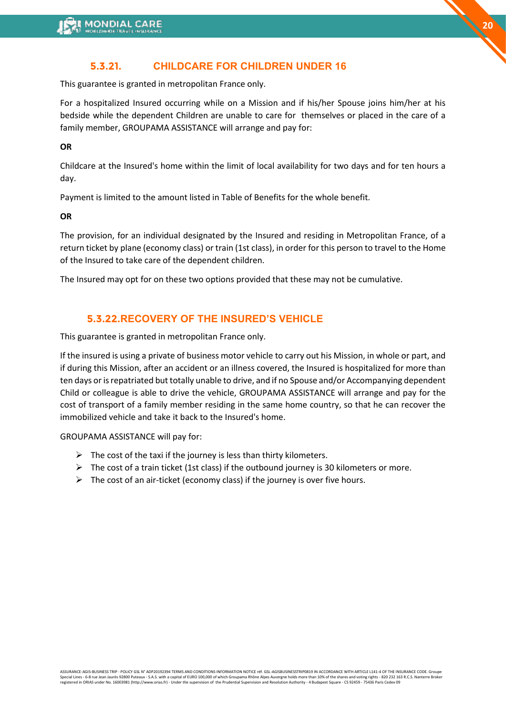### **5.3.21. CHILDCARE FOR CHILDREN UNDER 16**

This guarantee is granted in metropolitan France only.

For a hospitalized Insured occurring while on a Mission and if his/her Spouse joins him/her at his bedside while the dependent Children are unable to care for themselves or placed in the care of a family member, GROUPAMA ASSISTANCE will arrange and pay for:

**OR** 

Childcare at the Insured's home within the limit of local availability for two days and for ten hours a day.

Payment is limited to the amount listed in Table of Benefits for the whole benefit.

**OR** 

The provision, for an individual designated by the Insured and residing in Metropolitan France, of a return ticket by plane (economy class) or train (1st class), in order for this person to travel to the Home of the Insured to take care of the dependent children.

The Insured may opt for on these two options provided that these may not be cumulative.

### **5.3.22.RECOVERY OF THE INSURED'S VEHICLE**

This guarantee is granted in metropolitan France only.

If the insured is using a private of business motor vehicle to carry out his Mission, in whole or part, and if during this Mission, after an accident or an illness covered, the Insured is hospitalized for more than ten days or is repatriated but totally unable to drive, and if no Spouse and/or Accompanying dependent Child or colleague is able to drive the vehicle, GROUPAMA ASSISTANCE will arrange and pay for the cost of transport of a family member residing in the same home country, so that he can recover the immobilized vehicle and take it back to the Insured's home.

GROUPAMA ASSISTANCE will pay for:

- $\triangleright$  The cost of the taxi if the journey is less than thirty kilometers.
- $\triangleright$  The cost of a train ticket (1st class) if the outbound journey is 30 kilometers or more.
- $\triangleright$  The cost of an air-ticket (economy class) if the journey is over five hours.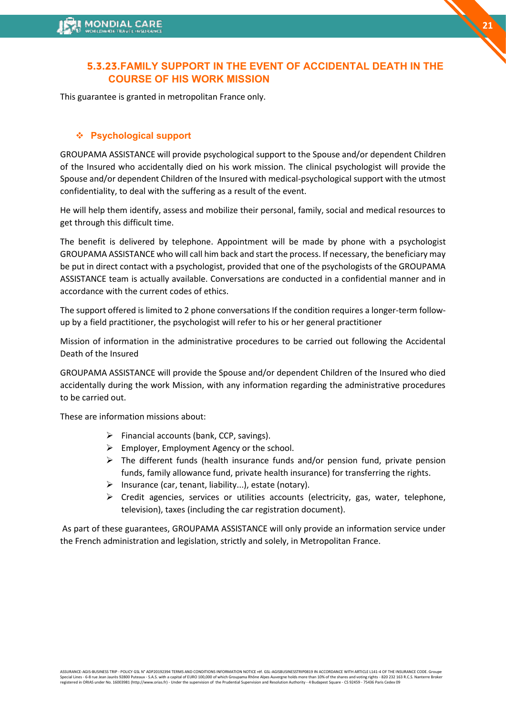### **5.3.23.FAMILY SUPPORT IN THE EVENT OF ACCIDENTAL DEATH IN THE COURSE OF HIS WORK MISSION**

This guarantee is granted in metropolitan France only.

#### ❖ **Psychological support**

GROUPAMA ASSISTANCE will provide psychological support to the Spouse and/or dependent Children of the Insured who accidentally died on his work mission. The clinical psychologist will provide the Spouse and/or dependent Children of the Insured with medical-psychological support with the utmost confidentiality, to deal with the suffering as a result of the event.

He will help them identify, assess and mobilize their personal, family, social and medical resources to get through this difficult time.

The benefit is delivered by telephone. Appointment will be made by phone with a psychologist GROUPAMA ASSISTANCE who will call him back and start the process. If necessary, the beneficiary may be put in direct contact with a psychologist, provided that one of the psychologists of the GROUPAMA ASSISTANCE team is actually available. Conversations are conducted in a confidential manner and in accordance with the current codes of ethics.

The support offered is limited to 2 phone conversations If the condition requires a longer-term followup by a field practitioner, the psychologist will refer to his or her general practitioner

Mission of information in the administrative procedures to be carried out following the Accidental Death of the Insured

GROUPAMA ASSISTANCE will provide the Spouse and/or dependent Children of the Insured who died accidentally during the work Mission, with any information regarding the administrative procedures to be carried out.

These are information missions about:

- $\triangleright$  Financial accounts (bank, CCP, savings).
- $\triangleright$  Employer, Employment Agency or the school.
- $\triangleright$  The different funds (health insurance funds and/or pension fund, private pension funds, family allowance fund, private health insurance) for transferring the rights.
- $\triangleright$  Insurance (car, tenant, liability...), estate (notary).
- $\triangleright$  Credit agencies, services or utilities accounts (electricity, gas, water, telephone, television), taxes (including the car registration document).

As part of these guarantees, GROUPAMA ASSISTANCE will only provide an information service under the French administration and legislation, strictly and solely, in Metropolitan France.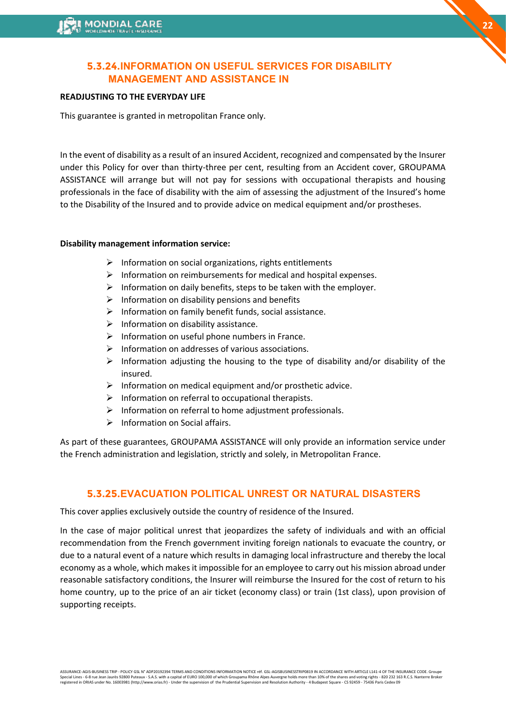### **5.3.24.INFORMATION ON USEFUL SERVICES FOR DISABILITY MANAGEMENT AND ASSISTANCE IN**

#### **READJUSTING TO THE EVERYDAY LIFE**

This guarantee is granted in metropolitan France only.

In the event of disability as a result of an insured Accident, recognized and compensated by the Insurer under this Policy for over than thirty-three per cent, resulting from an Accident cover, GROUPAMA ASSISTANCE will arrange but will not pay for sessions with occupational therapists and housing professionals in the face of disability with the aim of assessing the adjustment of the Insured's home to the Disability of the Insured and to provide advice on medical equipment and/or prostheses.

### **Disability management information service:**

- $\triangleright$  Information on social organizations, rights entitlements
- ➢ Information on reimbursements for medical and hospital expenses.
- $\triangleright$  Information on daily benefits, steps to be taken with the employer.
- $\triangleright$  Information on disability pensions and benefits
- ➢ Information on family benefit funds, social assistance.
- $\triangleright$  Information on disability assistance.
- $\triangleright$  Information on useful phone numbers in France.
- ➢ Information on addresses of various associations.
- $\triangleright$  Information adjusting the housing to the type of disability and/or disability of the insured.
- $\triangleright$  Information on medical equipment and/or prosthetic advice.
- $\triangleright$  Information on referral to occupational therapists.
- ➢ Information on referral to home adjustment professionals.
- ➢ Information on Social affairs.

As part of these guarantees, GROUPAMA ASSISTANCE will only provide an information service under the French administration and legislation, strictly and solely, in Metropolitan France.

### **5.3.25.EVACUATION POLITICAL UNREST OR NATURAL DISASTERS**

This cover applies exclusively outside the country of residence of the Insured.

In the case of major political unrest that jeopardizes the safety of individuals and with an official recommendation from the French government inviting foreign nationals to evacuate the country, or due to a natural event of a nature which results in damaging local infrastructure and thereby the local economy as a whole, which makes it impossible for an employee to carry out his mission abroad under reasonable satisfactory conditions, the Insurer will reimburse the Insured for the cost of return to his home country, up to the price of an air ticket (economy class) or train (1st class), upon provision of supporting receipts.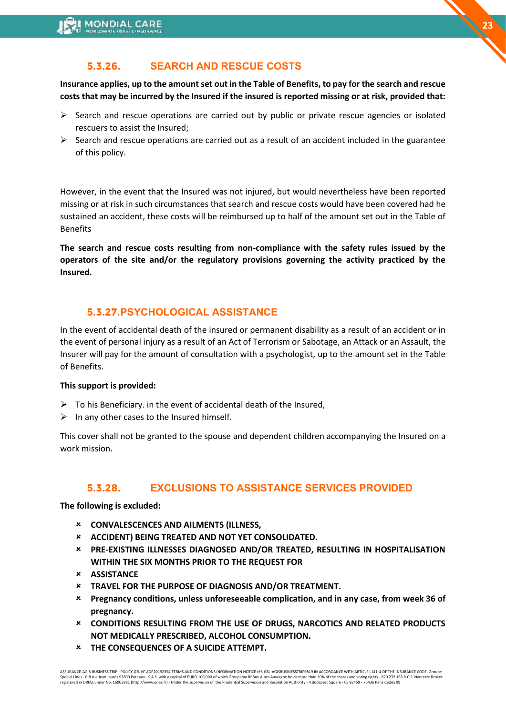### **5.3.26. SEARCH AND RESCUE COSTS**

**Insurance applies, up to the amount set out in the Table of Benefits, to pay for the search and rescue costs that may be incurred by the Insured if the insured is reported missing or at risk, provided that:** 

- $\triangleright$  Search and rescue operations are carried out by public or private rescue agencies or isolated rescuers to assist the Insured;
- $\triangleright$  Search and rescue operations are carried out as a result of an accident included in the guarantee of this policy.

However, in the event that the Insured was not injured, but would nevertheless have been reported missing or at risk in such circumstances that search and rescue costs would have been covered had he sustained an accident, these costs will be reimbursed up to half of the amount set out in the Table of Benefits

**The search and rescue costs resulting from non-compliance with the safety rules issued by the operators of the site and/or the regulatory provisions governing the activity practiced by the Insured.** 

### **5.3.27.PSYCHOLOGICAL ASSISTANCE**

In the event of accidental death of the insured or permanent disability as a result of an accident or in the event of personal injury as a result of an Act of Terrorism or Sabotage, an Attack or an Assault, the Insurer will pay for the amount of consultation with a psychologist, up to the amount set in the Table of Benefits.

#### **This support is provided:**

- $\triangleright$  To his Beneficiary. in the event of accidental death of the Insured,
- $\triangleright$  In any other cases to the Insured himself.

This cover shall not be granted to the spouse and dependent children accompanying the Insured on a work mission.

### **5.3.28. EXCLUSIONS TO ASSISTANCE SERVICES PROVIDED**

**The following is excluded:** 

- **CONVALESCENCES AND AILMENTS (ILLNESS,**
- **ACCIDENT) BEING TREATED AND NOT YET CONSOLIDATED.**
- **PRE-EXISTING ILLNESSES DIAGNOSED AND/OR TREATED, RESULTING IN HOSPITALISATION WITHIN THE SIX MONTHS PRIOR TO THE REQUEST FOR**
- **ASSISTANCE**
- **TRAVEL FOR THE PURPOSE OF DIAGNOSIS AND/OR TREATMENT.**
- **Pregnancy conditions, unless unforeseeable complication, and in any case, from week 36 of pregnancy.**
- **CONDITIONS RESULTING FROM THE USE OF DRUGS, NARCOTICS AND RELATED PRODUCTS NOT MEDICALLY PRESCRIBED, ALCOHOL CONSUMPTION.**
- **THE CONSEQUENCES OF A SUICIDE ATTEMPT.**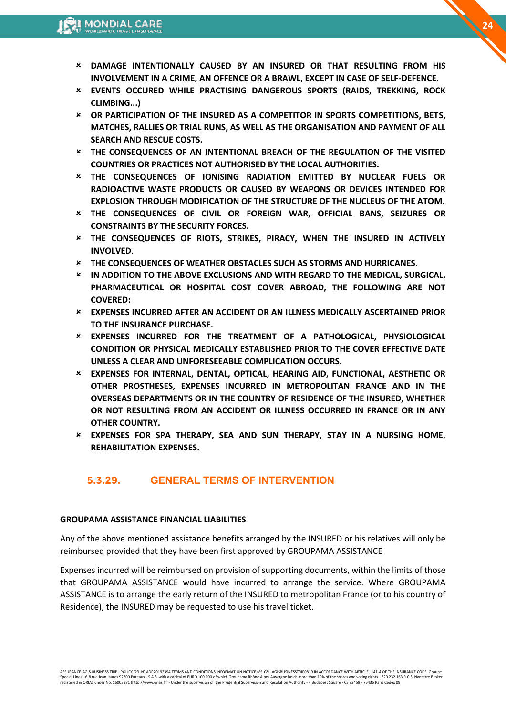- **DAMAGE INTENTIONALLY CAUSED BY AN INSURED OR THAT RESULTING FROM HIS INVOLVEMENT IN A CRIME, AN OFFENCE OR A BRAWL, EXCEPT IN CASE OF SELF-DEFENCE.**
- **EVENTS OCCURED WHILE PRACTISING DANGEROUS SPORTS (RAIDS, TREKKING, ROCK CLIMBING...)**
- **OR PARTICIPATION OF THE INSURED AS A COMPETITOR IN SPORTS COMPETITIONS, BETS, MATCHES, RALLIES OR TRIAL RUNS, AS WELL AS THE ORGANISATION AND PAYMENT OF ALL SEARCH AND RESCUE COSTS.**
- **THE CONSEQUENCES OF AN INTENTIONAL BREACH OF THE REGULATION OF THE VISITED COUNTRIES OR PRACTICES NOT AUTHORISED BY THE LOCAL AUTHORITIES.**
- **THE CONSEQUENCES OF IONISING RADIATION EMITTED BY NUCLEAR FUELS OR RADIOACTIVE WASTE PRODUCTS OR CAUSED BY WEAPONS OR DEVICES INTENDED FOR EXPLOSION THROUGH MODIFICATION OF THE STRUCTURE OF THE NUCLEUS OF THE ATOM.**
- **THE CONSEQUENCES OF CIVIL OR FOREIGN WAR, OFFICIAL BANS, SEIZURES OR CONSTRAINTS BY THE SECURITY FORCES.**
- **THE CONSEQUENCES OF RIOTS, STRIKES, PIRACY, WHEN THE INSURED IN ACTIVELY INVOLVED**.
- **THE CONSEQUENCES OF WEATHER OBSTACLES SUCH AS STORMS AND HURRICANES.**
- **IN ADDITION TO THE ABOVE EXCLUSIONS AND WITH REGARD TO THE MEDICAL, SURGICAL, PHARMACEUTICAL OR HOSPITAL COST COVER ABROAD, THE FOLLOWING ARE NOT COVERED:**
- **EXPENSES INCURRED AFTER AN ACCIDENT OR AN ILLNESS MEDICALLY ASCERTAINED PRIOR TO THE INSURANCE PURCHASE.**
- **EXPENSES INCURRED FOR THE TREATMENT OF A PATHOLOGICAL, PHYSIOLOGICAL CONDITION OR PHYSICAL MEDICALLY ESTABLISHED PRIOR TO THE COVER EFFECTIVE DATE UNLESS A CLEAR AND UNFORESEEABLE COMPLICATION OCCURS.**
- **EXPENSES FOR INTERNAL, DENTAL, OPTICAL, HEARING AID, FUNCTIONAL, AESTHETIC OR OTHER PROSTHESES, EXPENSES INCURRED IN METROPOLITAN FRANCE AND IN THE OVERSEAS DEPARTMENTS OR IN THE COUNTRY OF RESIDENCE OF THE INSURED, WHETHER OR NOT RESULTING FROM AN ACCIDENT OR ILLNESS OCCURRED IN FRANCE OR IN ANY OTHER COUNTRY.**
- **EXPENSES FOR SPA THERAPY, SEA AND SUN THERAPY, STAY IN A NURSING HOME, REHABILITATION EXPENSES.**

### **5.3.29. GENERAL TERMS OF INTERVENTION**

#### **GROUPAMA ASSISTANCE FINANCIAL LIABILITIES**

Any of the above mentioned assistance benefits arranged by the INSURED or his relatives will only be reimbursed provided that they have been first approved by GROUPAMA ASSISTANCE

Expenses incurred will be reimbursed on provision of supporting documents, within the limits of those that GROUPAMA ASSISTANCE would have incurred to arrange the service. Where GROUPAMA ASSISTANCE is to arrange the early return of the INSURED to metropolitan France (or to his country of Residence), the INSURED may be requested to use his travel ticket.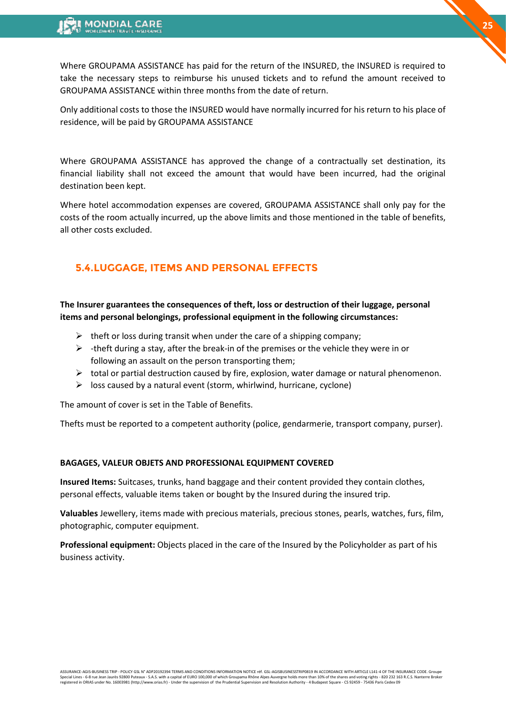Where GROUPAMA ASSISTANCE has paid for the return of the INSURED, the INSURED is required to take the necessary steps to reimburse his unused tickets and to refund the amount received to GROUPAMA ASSISTANCE within three months from the date of return.

Only additional costs to those the INSURED would have normally incurred for his return to his place of residence, will be paid by GROUPAMA ASSISTANCE

Where GROUPAMA ASSISTANCE has approved the change of a contractually set destination, its financial liability shall not exceed the amount that would have been incurred, had the original destination been kept.

Where hotel accommodation expenses are covered, GROUPAMA ASSISTANCE shall only pay for the costs of the room actually incurred, up the above limits and those mentioned in the table of benefits, all other costs excluded.

### **5.4.LUGGAGE, ITEMS AND PERSONAL EFFECTS**

**The Insurer guarantees the consequences of theft, loss or destruction of their luggage, personal items and personal belongings, professional equipment in the following circumstances:** 

- $\triangleright$  theft or loss during transit when under the care of a shipping company;
- $\triangleright$  -theft during a stay, after the break-in of the premises or the vehicle they were in or following an assault on the person transporting them;
- $\triangleright$  total or partial destruction caused by fire, explosion, water damage or natural phenomenon.
- $\triangleright$  loss caused by a natural event (storm, whirlwind, hurricane, cyclone)

The amount of cover is set in the Table of Benefits.

Thefts must be reported to a competent authority (police, gendarmerie, transport company, purser).

#### **BAGAGES, VALEUR OBJETS AND PROFESSIONAL EQUIPMENT COVERED**

**Insured Items:** Suitcases, trunks, hand baggage and their content provided they contain clothes, personal effects, valuable items taken or bought by the Insured during the insured trip.

**Valuables** Jewellery, items made with precious materials, precious stones, pearls, watches, furs, film, photographic, computer equipment.

**Professional equipment:** Objects placed in the care of the Insured by the Policyholder as part of his business activity.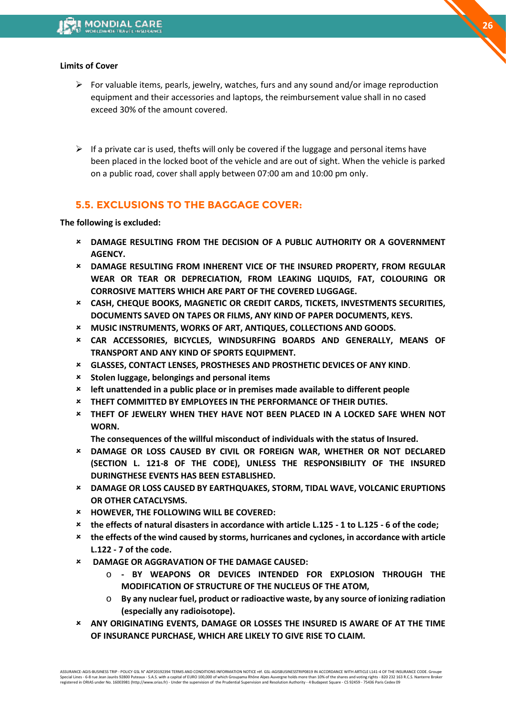#### **Limits of Cover**

- $\triangleright$  For valuable items, pearls, jewelry, watches, furs and any sound and/or image reproduction equipment and their accessories and laptops, the reimbursement value shall in no cased exceed 30% of the amount covered.
- $\triangleright$  If a private car is used, thefts will only be covered if the luggage and personal items have been placed in the locked boot of the vehicle and are out of sight. When the vehicle is parked on a public road, cover shall apply between 07:00 am and 10:00 pm only.

### **5.5. EXCLUSIONS TO THE BAGGAGE COVER:**

**The following is excluded:** 

- **DAMAGE RESULTING FROM THE DECISION OF A PUBLIC AUTHORITY OR A GOVERNMENT AGENCY.**
- **DAMAGE RESULTING FROM INHERENT VICE OF THE INSURED PROPERTY, FROM REGULAR WEAR OR TEAR OR DEPRECIATION, FROM LEAKING LIQUIDS, FAT, COLOURING OR CORROSIVE MATTERS WHICH ARE PART OF THE COVERED LUGGAGE.**
- **CASH, CHEQUE BOOKS, MAGNETIC OR CREDIT CARDS, TICKETS, INVESTMENTS SECURITIES, DOCUMENTS SAVED ON TAPES OR FILMS, ANY KIND OF PAPER DOCUMENTS, KEYS.**
- **MUSIC INSTRUMENTS, WORKS OF ART, ANTIQUES, COLLECTIONS AND GOODS.**
- **CAR ACCESSORIES, BICYCLES, WINDSURFING BOARDS AND GENERALLY, MEANS OF TRANSPORT AND ANY KIND OF SPORTS EQUIPMENT.**
- **GLASSES, CONTACT LENSES, PROSTHESES AND PROSTHETIC DEVICES OF ANY KIND**.
- **Stolen luggage, belongings and personal items**
- **left unattended in a public place or in premises made available to different people**
- **THEFT COMMITTED BY EMPLOYEES IN THE PERFORMANCE OF THEIR DUTIES.**
- **THEFT OF JEWELRY WHEN THEY HAVE NOT BEEN PLACED IN A LOCKED SAFE WHEN NOT WORN.**

**The consequences of the willful misconduct of individuals with the status of Insured.** 

- **DAMAGE OR LOSS CAUSED BY CIVIL OR FOREIGN WAR, WHETHER OR NOT DECLARED (SECTION L. 121-8 OF THE CODE), UNLESS THE RESPONSIBILITY OF THE INSURED DURINGTHESE EVENTS HAS BEEN ESTABLISHED.**
- **DAMAGE OR LOSS CAUSED BY EARTHQUAKES, STORM, TIDAL WAVE, VOLCANIC ERUPTIONS OR OTHER CATACLYSMS.**
- **HOWEVER, THE FOLLOWING WILL BE COVERED:**
- **the effects of natural disasters in accordance with article L.125 - 1 to L.125 - 6 of the code;**
- **the effects of the wind caused by storms, hurricanes and cyclones, in accordance with article L.122 - 7 of the code.**
- **DAMAGE OR AGGRAVATION OF THE DAMAGE CAUSED:** 
	- o **- BY WEAPONS OR DEVICES INTENDED FOR EXPLOSION THROUGH THE MODIFICATION OF STRUCTURE OF THE NUCLEUS OF THE ATOM,**
	- o **By any nuclear fuel, product or radioactive waste, by any source of ionizing radiation (especially any radioisotope).**
- **ANY ORIGINATING EVENTS, DAMAGE OR LOSSES THE INSURED IS AWARE OF AT THE TIME OF INSURANCE PURCHASE, WHICH ARE LIKELY TO GIVE RISE TO CLAIM.**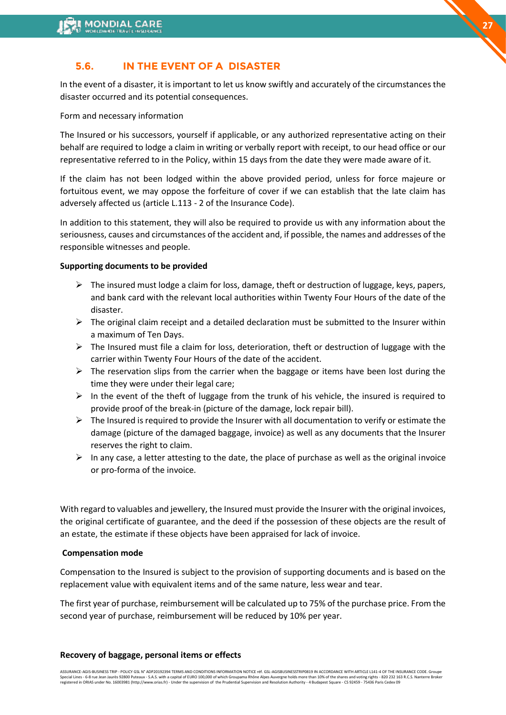

In the event of a disaster, it is important to let us know swiftly and accurately of the circumstances the disaster occurred and its potential consequences.

Form and necessary information

The Insured or his successors, yourself if applicable, or any authorized representative acting on their behalf are required to lodge a claim in writing or verbally report with receipt, to our head office or our representative referred to in the Policy, within 15 days from the date they were made aware of it.

If the claim has not been lodged within the above provided period, unless for force majeure or fortuitous event, we may oppose the forfeiture of cover if we can establish that the late claim has adversely affected us (article L.113 - 2 of the Insurance Code).

In addition to this statement, they will also be required to provide us with any information about the seriousness, causes and circumstances of the accident and, if possible, the names and addresses of the responsible witnesses and people.

#### **Supporting documents to be provided**

- $\triangleright$  The insured must lodge a claim for loss, damage, theft or destruction of luggage, keys, papers, and bank card with the relevant local authorities within Twenty Four Hours of the date of the disaster.
- $\triangleright$  The original claim receipt and a detailed declaration must be submitted to the Insurer within a maximum of Ten Days.
- $\triangleright$  The Insured must file a claim for loss, deterioration, theft or destruction of luggage with the carrier within Twenty Four Hours of the date of the accident.
- $\triangleright$  The reservation slips from the carrier when the baggage or items have been lost during the time they were under their legal care;
- $\triangleright$  In the event of the theft of luggage from the trunk of his vehicle, the insured is required to provide proof of the break-in (picture of the damage, lock repair bill).
- $\triangleright$  The Insured is required to provide the Insurer with all documentation to verify or estimate the damage (picture of the damaged baggage, invoice) as well as any documents that the Insurer reserves the right to claim.
- $\triangleright$  In any case, a letter attesting to the date, the place of purchase as well as the original invoice or pro-forma of the invoice.

With regard to valuables and jewellery, the Insured must provide the Insurer with the original invoices, the original certificate of guarantee, and the deed if the possession of these objects are the result of an estate, the estimate if these objects have been appraised for lack of invoice.

#### **Compensation mode**

Compensation to the Insured is subject to the provision of supporting documents and is based on the replacement value with equivalent items and of the same nature, less wear and tear.

The first year of purchase, reimbursement will be calculated up to 75% of the purchase price. From the second year of purchase, reimbursement will be reduced by 10% per year.

#### **Recovery of baggage, personal items or effects**

**27**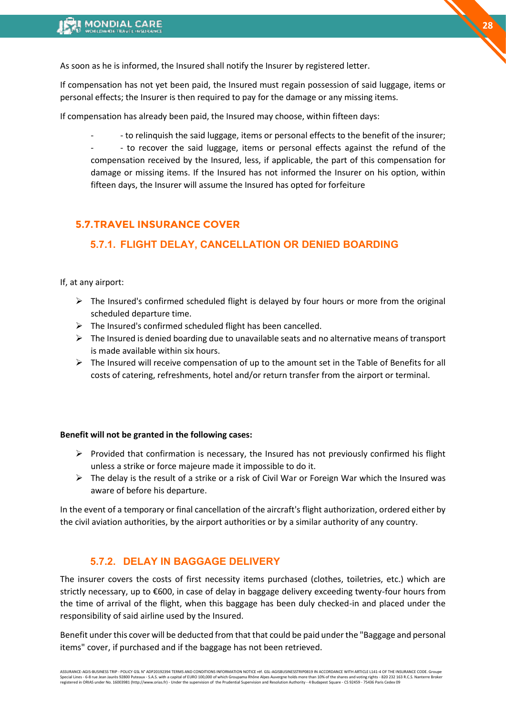As soon as he is informed, the Insured shall notify the Insurer by registered letter.

If compensation has not yet been paid, the Insured must regain possession of said luggage, items or personal effects; the Insurer is then required to pay for the damage or any missing items.

If compensation has already been paid, the Insured may choose, within fifteen days:

- - to relinquish the said luggage, items or personal effects to the benefit of the insurer; - - to recover the said luggage, items or personal effects against the refund of the compensation received by the Insured, less, if applicable, the part of this compensation for damage or missing items. If the Insured has not informed the Insurer on his option, within fifteen days, the Insurer will assume the Insured has opted for forfeiture

### **5.7.TRAVEL INSURANCE COVER**

### **5.7.1. FLIGHT DELAY, CANCELLATION OR DENIED BOARDING**

#### If, at any airport:

- $\triangleright$  The Insured's confirmed scheduled flight is delayed by four hours or more from the original scheduled departure time.
- $\triangleright$  The Insured's confirmed scheduled flight has been cancelled.
- $\triangleright$  The Insured is denied boarding due to unavailable seats and no alternative means of transport is made available within six hours.
- $\triangleright$  The Insured will receive compensation of up to the amount set in the Table of Benefits for all costs of catering, refreshments, hotel and/or return transfer from the airport or terminal.

#### **Benefit will not be granted in the following cases:**

- $\triangleright$  Provided that confirmation is necessary, the Insured has not previously confirmed his flight unless a strike or force majeure made it impossible to do it.
- $\triangleright$  The delay is the result of a strike or a risk of Civil War or Foreign War which the Insured was aware of before his departure.

In the event of a temporary or final cancellation of the aircraft's flight authorization, ordered either by the civil aviation authorities, by the airport authorities or by a similar authority of any country.

### **5.7.2. DELAY IN BAGGAGE DELIVERY**

The insurer covers the costs of first necessity items purchased (clothes, toiletries, etc.) which are strictly necessary, up to €600, in case of delay in baggage delivery exceeding twenty-four hours from the time of arrival of the flight, when this baggage has been duly checked-in and placed under the responsibility of said airline used by the Insured.

Benefit under this cover will be deducted from that that could be paid under the "Baggage and personal items" cover, if purchased and if the baggage has not been retrieved.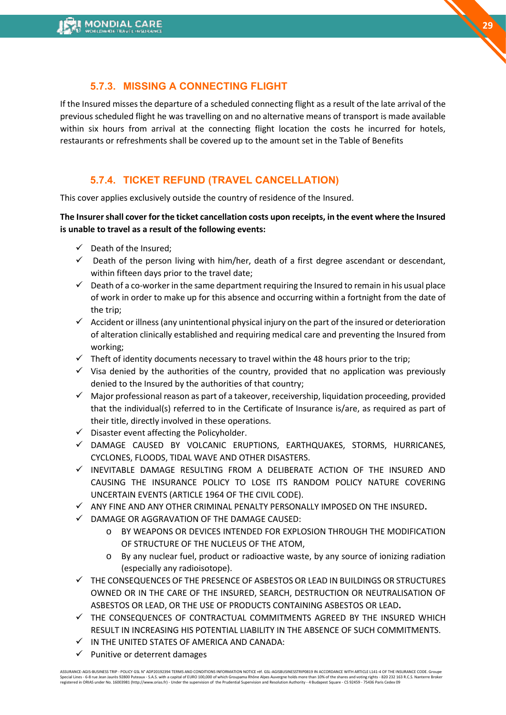### **5.7.3. MISSING A CONNECTING FLIGHT**

If the Insured misses the departure of a scheduled connecting flight as a result of the late arrival of the previous scheduled flight he was travelling on and no alternative means of transport is made available within six hours from arrival at the connecting flight location the costs he incurred for hotels, restaurants or refreshments shall be covered up to the amount set in the Table of Benefits

### **5.7.4. TICKET REFUND (TRAVEL CANCELLATION)**

This cover applies exclusively outside the country of residence of the Insured.

**The Insurer shall cover for the ticket cancellation costs upon receipts, in the event where the Insured is unable to travel as a result of the following events:** 

- $\checkmark$  Death of the Insured:
- $\checkmark$  Death of the person living with him/her, death of a first degree ascendant or descendant, within fifteen days prior to the travel date;
- $\checkmark$  Death of a co-worker in the same department requiring the Insured to remain in his usual place of work in order to make up for this absence and occurring within a fortnight from the date of the trip;
- $\checkmark$  Accident or illness (any unintentional physical injury on the part of the insured or deterioration of alteration clinically established and requiring medical care and preventing the Insured from working;
- $\checkmark$  Theft of identity documents necessary to travel within the 48 hours prior to the trip;
- $\checkmark$  Visa denied by the authorities of the country, provided that no application was previously denied to the Insured by the authorities of that country;
- $\checkmark$  Major professional reason as part of a takeover, receivership, liquidation proceeding, provided that the individual(s) referred to in the Certificate of Insurance is/are, as required as part of their title, directly involved in these operations.
- ✓ Disaster event affecting the Policyholder.
- ✓ DAMAGE CAUSED BY VOLCANIC ERUPTIONS, EARTHQUAKES, STORMS, HURRICANES, CYCLONES, FLOODS, TIDAL WAVE AND OTHER DISASTERS.
- $\checkmark$  inevitable damage resulting from a deliberate action of the insured and CAUSING THE INSURANCE POLICY TO LOSE ITS RANDOM POLICY NATURE COVERING UNCERTAIN EVENTS (ARTICLE 1964 OF THE CIVIL CODE).
- ✓ ANY FINE AND ANY OTHER CRIMINAL PENALTY PERSONALLY IMPOSED ON THE INSURED**.**
- ✓ DAMAGE OR AGGRAVATION OF THE DAMAGE CAUSED:
	- o BY WEAPONS OR DEVICES INTENDED FOR EXPLOSION THROUGH THE MODIFICATION OF STRUCTURE OF THE NUCLEUS OF THE ATOM,
	- o By any nuclear fuel, product or radioactive waste, by any source of ionizing radiation (especially any radioisotope).
- $\checkmark$  THE CONSEQUENCES OF THE PRESENCE OF ASBESTOS OR LEAD IN BUILDINGS OR STRUCTURES OWNED OR IN THE CARE OF THE INSURED, SEARCH, DESTRUCTION OR NEUTRALISATION OF ASBESTOS OR LEAD, OR THE USE OF PRODUCTS CONTAINING ASBESTOS OR LEAD**.**
- ✓ THE CONSEQUENCES OF CONTRACTUAL COMMITMENTS AGREED BY THE INSURED WHICH RESULT IN INCREASING HIS POTENTIAL LIABILITY IN THE ABSENCE OF SUCH COMMITMENTS.
- ✓ IN THE UNITED STATES OF AMERICA AND CANADA:
- ✓ Punitive or deterrent damages

ASSURANCE-AGIS-BUSINESS TRIP - POLICY GSL N° ADP20192394 TERMS AND CONDITIONS INFORMATION NOTICE réf. GSL-AGISBUSINESSTRIP0819 IN ACCORDANCE WITH ARTICLE L141-4 OF THE INSURANCE CODE. Groupe<br>Special Lines - 6-8 rue Jean Ja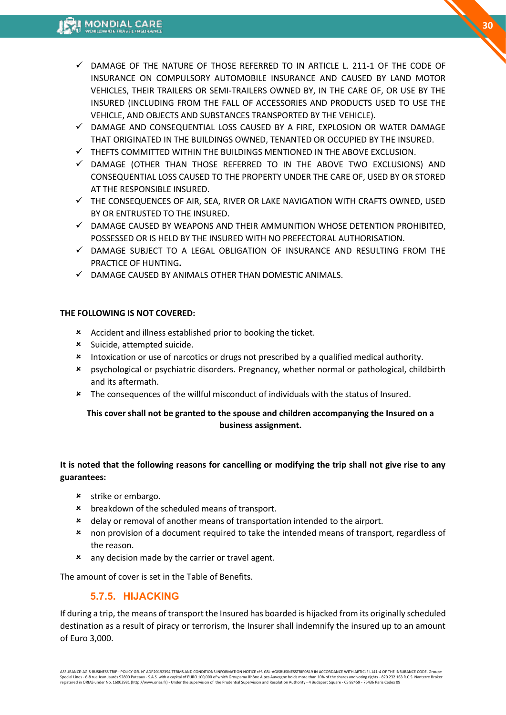- $\checkmark$  DAMAGE OF THE NATURE OF THOSE REFERRED TO IN ARTICLE L. 211-1 OF THE CODE OF INSURANCE ON COMPULSORY AUTOMOBILE INSURANCE AND CAUSED BY LAND MOTOR VEHICLES, THEIR TRAILERS OR SEMI-TRAILERS OWNED BY, IN THE CARE OF, OR USE BY THE INSURED (INCLUDING FROM THE FALL OF ACCESSORIES AND PRODUCTS USED TO USE THE VEHICLE, AND OBJECTS AND SUBSTANCES TRANSPORTED BY THE VEHICLE).
- $\checkmark$  damage and consequential loss caused by a fire, explosion or water damage THAT ORIGINATED IN THE BUILDINGS OWNED, TENANTED OR OCCUPIED BY THE INSURED.
- ✓ THEFTS COMMITTED WITHIN THE BUILDINGS MENTIONED IN THE ABOVE EXCLUSION.
- $\checkmark$  damage (other than those referred to in the above two exclusions) and CONSEQUENTIAL LOSS CAUSED TO THE PROPERTY UNDER THE CARE OF, USED BY OR STORED AT THE RESPONSIBLE INSURED.
- $\checkmark$  THE CONSEQUENCES OF AIR, SEA, RIVER OR LAKE NAVIGATION WITH CRAFTS OWNED, USED BY OR ENTRUSTED TO THE INSURED.
- $\checkmark$  damage caused by weapons and their ammunition whose detention prohibited, POSSESSED OR IS HELD BY THE INSURED WITH NO PREFECTORAL AUTHORISATION.
- $\checkmark$  damage subject to a legal obligation of insurance and resulting from the PRACTICE OF HUNTING**.**
- $\checkmark$  DAMAGE CAUSED BY ANIMALS OTHER THAN DOMESTIC ANIMALS.

### **THE FOLLOWING IS NOT COVERED:**

- Accident and illness established prior to booking the ticket.
- Suicide, attempted suicide.
- **\*** Intoxication or use of narcotics or drugs not prescribed by a qualified medical authority.
- psychological or psychiatric disorders. Pregnancy, whether normal or pathological, childbirth and its aftermath.
- \* The consequences of the willful misconduct of individuals with the status of Insured.

### **This cover shall not be granted to the spouse and children accompanying the Insured on a business assignment.**

### **It is noted that the following reasons for cancelling or modifying the trip shall not give rise to any guarantees:**

- **\*** strike or embargo.
- **\*** breakdown of the scheduled means of transport.
- delay or removal of another means of transportation intended to the airport.
- non provision of a document required to take the intended means of transport, regardless of the reason.
- **\*** any decision made by the carrier or travel agent.

The amount of cover is set in the Table of Benefits.

# **5.7.5. HIJACKING**

If during a trip, the means of transport the Insured has boarded is hijacked from its originally scheduled destination as a result of piracy or terrorism, the Insurer shall indemnify the insured up to an amount of Euro 3,000.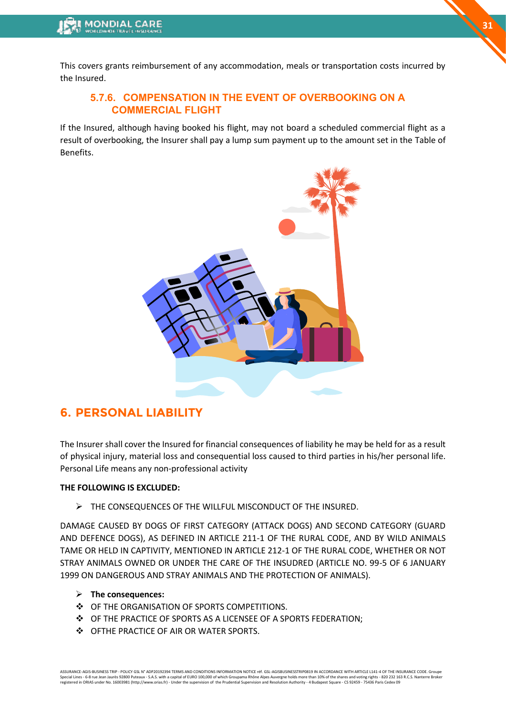This covers grants reimbursement of any accommodation, meals or transportation costs incurred by the Insured.

### **5.7.6. COMPENSATION IN THE EVENT OF OVERBOOKING ON A COMMERCIAL FLIGHT**

If the Insured, although having booked his flight, may not board a scheduled commercial flight as a result of overbooking, the Insurer shall pay a lump sum payment up to the amount set in the Table of Benefits.



# <span id="page-30-0"></span>**6. PERSONAL LIABILITY**

The Insurer shall cover the Insured for financial consequences of liability he may be held for as a result of physical injury, material loss and consequential loss caused to third parties in his/her personal life. Personal Life means any non-professional activity

#### **THE FOLLOWING IS EXCLUDED:**

➢ THE CONSEQUENCES OF THE WILLFUL MISCONDUCT OF THE INSURED.

DAMAGE CAUSED BY DOGS OF FIRST CATEGORY (ATTACK DOGS) AND SECOND CATEGORY (GUARD AND DEFENCE DOGS), AS DEFINED IN ARTICLE 211-1 OF THE RURAL CODE, AND BY WILD ANIMALS TAME OR HELD IN CAPTIVITY, MENTIONED IN ARTICLE 212-1 OF THE RURAL CODE, WHETHER OR NOT STRAY ANIMALS OWNED OR UNDER THE CARE OF THE INSUDRED (ARTICLE NO. 99-5 OF 6 JANUARY 1999 ON DANGEROUS AND STRAY ANIMALS AND THE PROTECTION OF ANIMALS).

- ➢ **The consequences:**
- ❖ OF THE ORGANISATION OF SPORTS COMPETITIONS.
- ❖ OF THE PRACTICE OF SPORTS AS A LICENSEE OF A SPORTS FEDERATION;
- ❖ OFTHE PRACTICE OF AIR OR WATER SPORTS.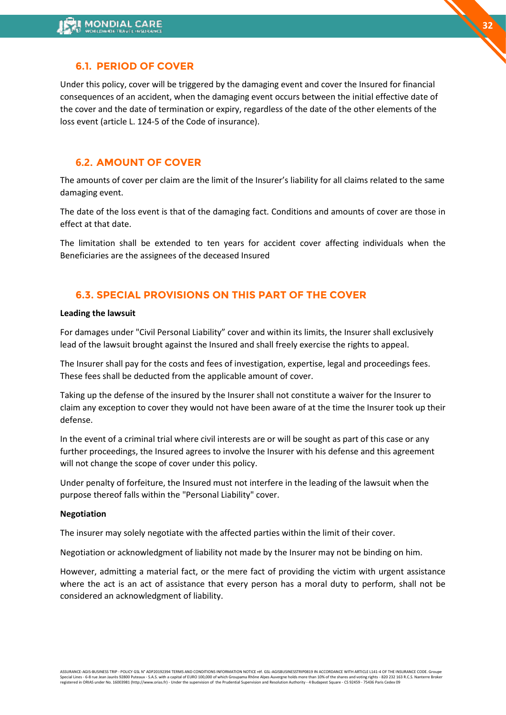### **6.1. PERIOD OF COVER**

Under this policy, cover will be triggered by the damaging event and cover the Insured for financial consequences of an accident, when the damaging event occurs between the initial effective date of the cover and the date of termination or expiry, regardless of the date of the other elements of the loss event (article L. 124-5 of the Code of insurance).

### **6.2. AMOUNT OF COVER**

The amounts of cover per claim are the limit of the Insurer's liability for all claims related to the same damaging event.

The date of the loss event is that of the damaging fact. Conditions and amounts of cover are those in effect at that date.

The limitation shall be extended to ten years for accident cover affecting individuals when the Beneficiaries are the assignees of the deceased Insured

### **6.3. SPECIAL PROVISIONS ON THIS PART OF THE COVER**

#### **Leading the lawsuit**

For damages under "Civil Personal Liability" cover and within its limits, the Insurer shall exclusively lead of the lawsuit brought against the Insured and shall freely exercise the rights to appeal.

The Insurer shall pay for the costs and fees of investigation, expertise, legal and proceedings fees. These fees shall be deducted from the applicable amount of cover.

Taking up the defense of the insured by the Insurer shall not constitute a waiver for the Insurer to claim any exception to cover they would not have been aware of at the time the Insurer took up their defense.

In the event of a criminal trial where civil interests are or will be sought as part of this case or any further proceedings, the Insured agrees to involve the Insurer with his defense and this agreement will not change the scope of cover under this policy.

Under penalty of forfeiture, the Insured must not interfere in the leading of the lawsuit when the purpose thereof falls within the "Personal Liability" cover.

#### **Negotiation**

The insurer may solely negotiate with the affected parties within the limit of their cover.

Negotiation or acknowledgment of liability not made by the Insurer may not be binding on him.

However, admitting a material fact, or the mere fact of providing the victim with urgent assistance where the act is an act of assistance that every person has a moral duty to perform, shall not be considered an acknowledgment of liability.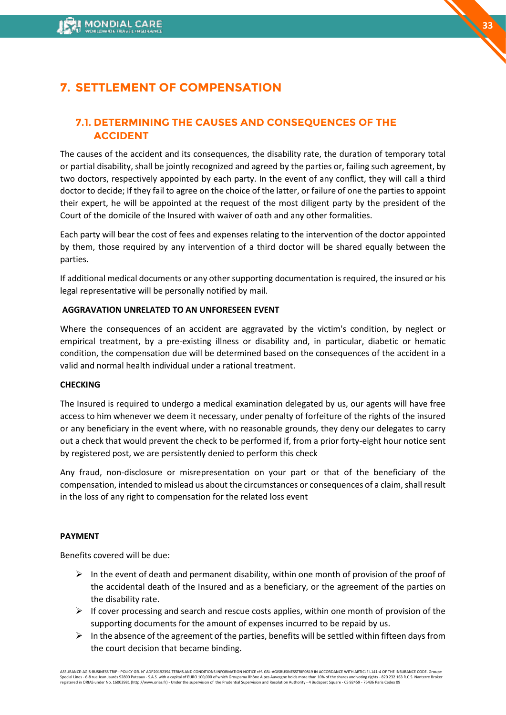# <span id="page-32-0"></span>**7. SETTLEMENT OF COMPENSATION**

### **7.1. DETERMINING THE CAUSES AND CONSEQUENCES OF THE ACCIDENT**

The causes of the accident and its consequences, the disability rate, the duration of temporary total or partial disability, shall be jointly recognized and agreed by the parties or, failing such agreement, by two doctors, respectively appointed by each party. In the event of any conflict, they will call a third doctor to decide; If they fail to agree on the choice of the latter, or failure of one the parties to appoint their expert, he will be appointed at the request of the most diligent party by the president of the Court of the domicile of the Insured with waiver of oath and any other formalities.

Each party will bear the cost of fees and expenses relating to the intervention of the doctor appointed by them, those required by any intervention of a third doctor will be shared equally between the parties.

If additional medical documents or any other supporting documentation is required, the insured or his legal representative will be personally notified by mail.

#### **AGGRAVATION UNRELATED TO AN UNFORESEEN EVENT**

Where the consequences of an accident are aggravated by the victim's condition, by neglect or empirical treatment, by a pre-existing illness or disability and, in particular, diabetic or hematic condition, the compensation due will be determined based on the consequences of the accident in a valid and normal health individual under a rational treatment.

#### **CHECKING**

The Insured is required to undergo a medical examination delegated by us, our agents will have free access to him whenever we deem it necessary, under penalty of forfeiture of the rights of the insured or any beneficiary in the event where, with no reasonable grounds, they deny our delegates to carry out a check that would prevent the check to be performed if, from a prior forty-eight hour notice sent by registered post, we are persistently denied to perform this check

Any fraud, non-disclosure or misrepresentation on your part or that of the beneficiary of the compensation, intended to mislead us about the circumstances or consequences of a claim, shall result in the loss of any right to compensation for the related loss event

#### **PAYMENT**

Benefits covered will be due:

- $\triangleright$  In the event of death and permanent disability, within one month of provision of the proof of the accidental death of the Insured and as a beneficiary, or the agreement of the parties on the disability rate.
- $\triangleright$  If cover processing and search and rescue costs applies, within one month of provision of the supporting documents for the amount of expenses incurred to be repaid by us.
- $\triangleright$  In the absence of the agreement of the parties, benefits will be settled within fifteen days from the court decision that became binding.

<sup>.&</sup>lt;br>ASSURANCE-AGIS-BUSINESS TRIP - POLICY GSL N° ADP20192394 TERMS AND CONDITIONS INFORMATION NOTICE réf. GSL-AGISBUSINESSTRIP0819 IN ACCORDANCE WITH ARTICLE L141-4 OF THE INSURANCE CODE. G Special Lines - 6-8 rue Jean Jaurès 92800 Puteaux - S.A.S. with a capital of EURO 100,000 of which Groupama Rhône Alpes Auvergne holds more than 10% of the shares and voting rights - 820 232 163 R.C.S. Nanterre Broker<br>regi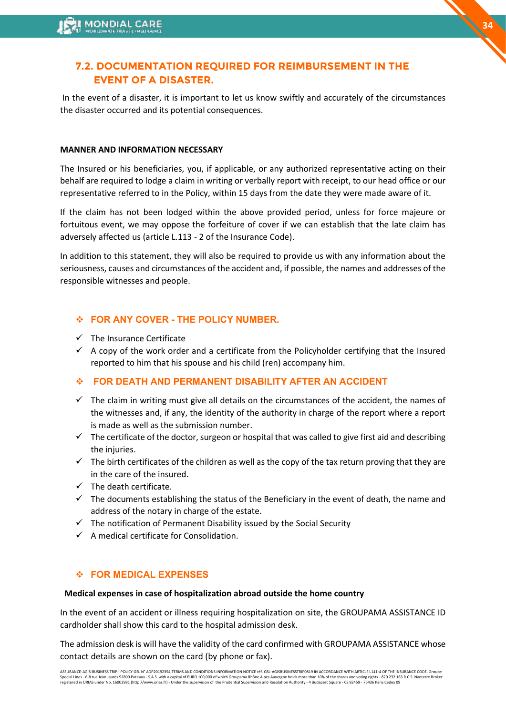### **7.2. DOCUMENTATION REQUIRED FOR REIMBURSEMENT IN THE EVENT OF A DISASTER.**

In the event of a disaster, it is important to let us know swiftly and accurately of the circumstances the disaster occurred and its potential consequences.

### **MANNER AND INFORMATION NECESSARY**

The Insured or his beneficiaries, you, if applicable, or any authorized representative acting on their behalf are required to lodge a claim in writing or verbally report with receipt, to our head office or our representative referred to in the Policy, within 15 days from the date they were made aware of it.

If the claim has not been lodged within the above provided period, unless for force majeure or fortuitous event, we may oppose the forfeiture of cover if we can establish that the late claim has adversely affected us (article L.113 - 2 of the Insurance Code).

In addition to this statement, they will also be required to provide us with any information about the seriousness, causes and circumstances of the accident and, if possible, the names and addresses of the responsible witnesses and people.

### ❖ **FOR ANY COVER - THE POLICY NUMBER.**

- ✓ The Insurance Certificate
- $\checkmark$  A copy of the work order and a certificate from the Policyholder certifying that the Insured reported to him that his spouse and his child (ren) accompany him.

### ❖ **FOR DEATH AND PERMANENT DISABILITY AFTER AN ACCIDENT**

- $\checkmark$  The claim in writing must give all details on the circumstances of the accident, the names of the witnesses and, if any, the identity of the authority in charge of the report where a report is made as well as the submission number.
- $\checkmark$  The certificate of the doctor, surgeon or hospital that was called to give first aid and describing the injuries.
- $\checkmark$  The birth certificates of the children as well as the copy of the tax return proving that they are in the care of the insured.
- $\checkmark$  The death certificate.
- $\checkmark$  The documents establishing the status of the Beneficiary in the event of death, the name and address of the notary in charge of the estate.
- ✓ The notification of Permanent Disability issued by the Social Security
- $\checkmark$  A medical certificate for Consolidation.

### ❖ **FOR MEDICAL EXPENSES**

### **Medical expenses in case of hospitalization abroad outside the home country**

In the event of an accident or illness requiring hospitalization on site, the GROUPAMA ASSISTANCE ID cardholder shall show this card to the hospital admission desk.

The admission desk is will have the validity of the card confirmed with GROUPAMA ASSISTANCE whose contact details are shown on the card (by phone or fax).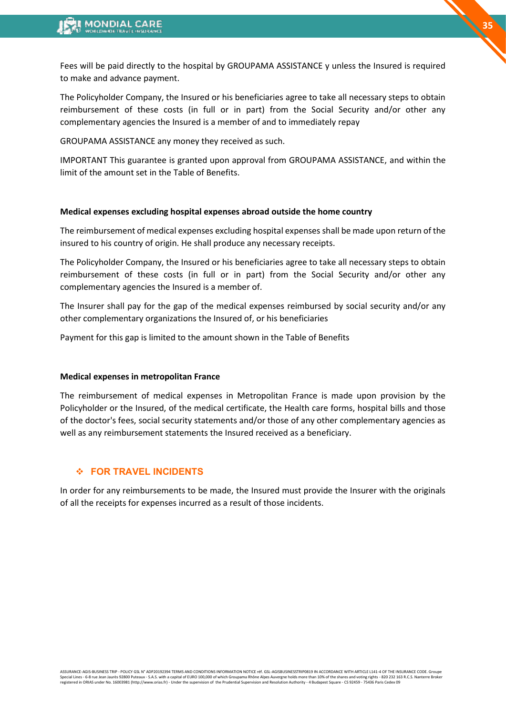Fees will be paid directly to the hospital by GROUPAMA ASSISTANCE y unless the Insured is required to make and advance payment.

The Policyholder Company, the Insured or his beneficiaries agree to take all necessary steps to obtain reimbursement of these costs (in full or in part) from the Social Security and/or other any complementary agencies the Insured is a member of and to immediately repay

GROUPAMA ASSISTANCE any money they received as such.

IMPORTANT This guarantee is granted upon approval from GROUPAMA ASSISTANCE, and within the limit of the amount set in the Table of Benefits.

#### **Medical expenses excluding hospital expenses abroad outside the home country**

The reimbursement of medical expenses excluding hospital expenses shall be made upon return of the insured to his country of origin. He shall produce any necessary receipts.

The Policyholder Company, the Insured or his beneficiaries agree to take all necessary steps to obtain reimbursement of these costs (in full or in part) from the Social Security and/or other any complementary agencies the Insured is a member of.

The Insurer shall pay for the gap of the medical expenses reimbursed by social security and/or any other complementary organizations the Insured of, or his beneficiaries

Payment for this gap is limited to the amount shown in the Table of Benefits

#### **Medical expenses in metropolitan France**

The reimbursement of medical expenses in Metropolitan France is made upon provision by the Policyholder or the Insured, of the medical certificate, the Health care forms, hospital bills and those of the doctor's fees, social security statements and/or those of any other complementary agencies as well as any reimbursement statements the Insured received as a beneficiary.

#### ❖ **FOR TRAVEL INCIDENTS**

In order for any reimbursements to be made, the Insured must provide the Insurer with the originals of all the receipts for expenses incurred as a result of those incidents.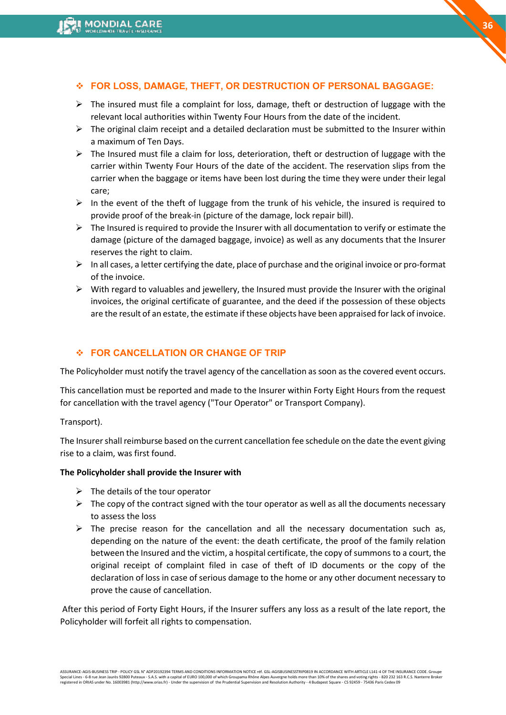#### ❖ **FOR LOSS, DAMAGE, THEFT, OR DESTRUCTION OF PERSONAL BAGGAGE:**

- ➢ The insured must file a complaint for loss, damage, theft or destruction of luggage with the relevant local authorities within Twenty Four Hours from the date of the incident.
- $\triangleright$  The original claim receipt and a detailed declaration must be submitted to the Insurer within a maximum of Ten Days.
- $\triangleright$  The Insured must file a claim for loss, deterioration, theft or destruction of luggage with the carrier within Twenty Four Hours of the date of the accident. The reservation slips from the carrier when the baggage or items have been lost during the time they were under their legal care;
- $\triangleright$  In the event of the theft of luggage from the trunk of his vehicle, the insured is required to provide proof of the break-in (picture of the damage, lock repair bill).
- $\triangleright$  The Insured is required to provide the Insurer with all documentation to verify or estimate the damage (picture of the damaged baggage, invoice) as well as any documents that the Insurer reserves the right to claim.
- $\triangleright$  In all cases, a letter certifying the date, place of purchase and the original invoice or pro-format of the invoice.
- $\triangleright$  With regard to valuables and jewellery, the Insured must provide the Insurer with the original invoices, the original certificate of guarantee, and the deed if the possession of these objects are the result of an estate, the estimate if these objects have been appraised for lack of invoice.

#### ❖ **FOR CANCELLATION OR CHANGE OF TRIP**

The Policyholder must notify the travel agency of the cancellation as soon as the covered event occurs.

This cancellation must be reported and made to the Insurer within Forty Eight Hours from the request for cancellation with the travel agency ("Tour Operator" or Transport Company).

Transport).

The Insurer shall reimburse based on the current cancellation fee schedule on the date the event giving rise to a claim, was first found.

#### **The Policyholder shall provide the Insurer with**

- $\triangleright$  The details of the tour operator
- $\triangleright$  The copy of the contract signed with the tour operator as well as all the documents necessary to assess the loss
- $\triangleright$  The precise reason for the cancellation and all the necessary documentation such as, depending on the nature of the event: the death certificate, the proof of the family relation between the Insured and the victim, a hospital certificate, the copy of summons to a court, the original receipt of complaint filed in case of theft of ID documents or the copy of the declaration of loss in case of serious damage to the home or any other document necessary to prove the cause of cancellation.

After this period of Forty Eight Hours, if the Insurer suffers any loss as a result of the late report, the Policyholder will forfeit all rights to compensation.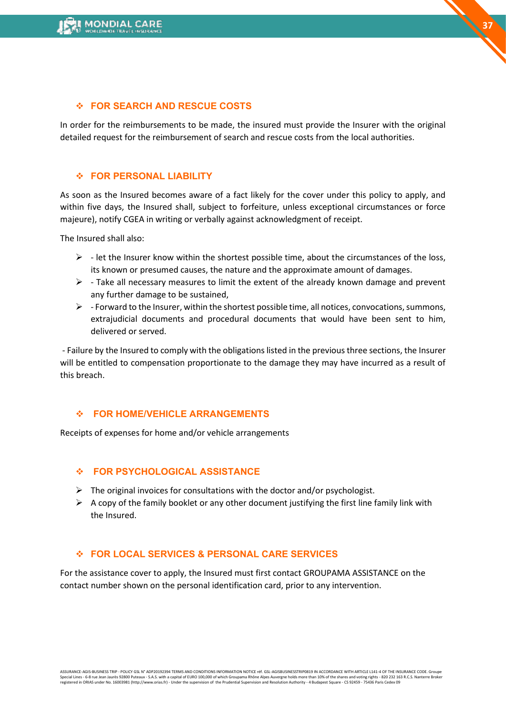#### ❖ **FOR SEARCH AND RESCUE COSTS**

In order for the reimbursements to be made, the insured must provide the Insurer with the original detailed request for the reimbursement of search and rescue costs from the local authorities.

**37**

#### ❖ **FOR PERSONAL LIABILITY**

As soon as the Insured becomes aware of a fact likely for the cover under this policy to apply, and within five days, the Insured shall, subject to forfeiture, unless exceptional circumstances or force majeure), notify CGEA in writing or verbally against acknowledgment of receipt.

The Insured shall also:

- $\triangleright$  let the Insurer know within the shortest possible time, about the circumstances of the loss, its known or presumed causes, the nature and the approximate amount of damages.
- $\triangleright$  Take all necessary measures to limit the extent of the already known damage and prevent any further damage to be sustained,
- $\triangleright$  Forward to the Insurer, within the shortest possible time, all notices, convocations, summons, extrajudicial documents and procedural documents that would have been sent to him, delivered or served.

- Failure by the Insured to comply with the obligations listed in the previous three sections, the Insurer will be entitled to compensation proportionate to the damage they may have incurred as a result of this breach.

#### ❖ **FOR HOME/VEHICLE ARRANGEMENTS**

Receipts of expenses for home and/or vehicle arrangements

#### ❖ **FOR PSYCHOLOGICAL ASSISTANCE**

- $\triangleright$  The original invoices for consultations with the doctor and/or psychologist.
- $\triangleright$  A copy of the family booklet or any other document justifying the first line family link with the Insured.

#### ❖ **FOR LOCAL SERVICES & PERSONAL CARE SERVICES**

For the assistance cover to apply, the Insured must first contact GROUPAMA ASSISTANCE on the contact number shown on the personal identification card, prior to any intervention.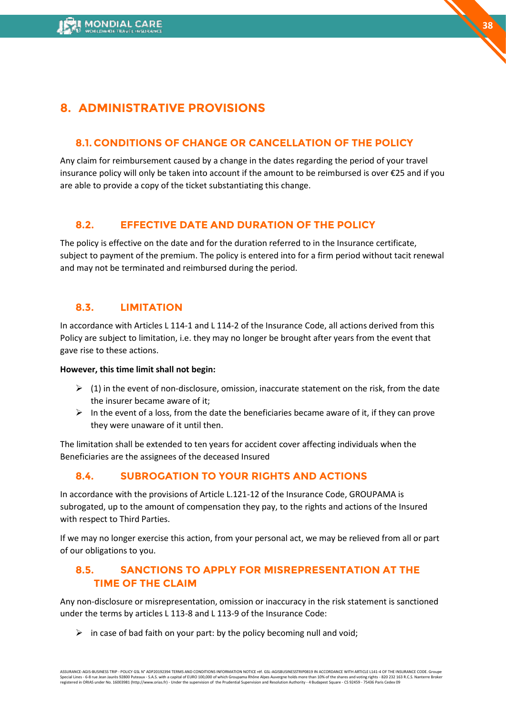# <span id="page-37-0"></span>**8. ADMINISTRATIVE PROVISIONS**

### **8.1. CONDITIONS OF CHANGE OR CANCELLATION OF THE POLICY**

Any claim for reimbursement caused by a change in the dates regarding the period of your travel insurance policy will only be taken into account if the amount to be reimbursed is over €25 and if you are able to provide a copy of the ticket substantiating this change.

### **8.2. EFFECTIVE DATE AND DURATION OF THE POLICY**

The policy is effective on the date and for the duration referred to in the Insurance certificate, subject to payment of the premium. The policy is entered into for a firm period without tacit renewal and may not be terminated and reimbursed during the period.

### **8.3. LIMITATION**

In accordance with Articles L 114-1 and L 114-2 of the Insurance Code, all actions derived from this Policy are subject to limitation, i.e. they may no longer be brought after years from the event that gave rise to these actions.

#### **However, this time limit shall not begin:**

- $\triangleright$  (1) in the event of non-disclosure, omission, inaccurate statement on the risk, from the date the insurer became aware of it;
- $\triangleright$  In the event of a loss, from the date the beneficiaries became aware of it, if they can prove they were unaware of it until then.

The limitation shall be extended to ten years for accident cover affecting individuals when the Beneficiaries are the assignees of the deceased Insured

### **8.4. SUBROGATION TO YOUR RIGHTS AND ACTIONS**

In accordance with the provisions of Article L.121-12 of the Insurance Code, GROUPAMA is subrogated, up to the amount of compensation they pay, to the rights and actions of the Insured with respect to Third Parties.

If we may no longer exercise this action, from your personal act, we may be relieved from all or part of our obligations to you.

### **8.5. SANCTIONS TO APPLY FOR MISREPRESENTATION AT THE TIME OF THE CLAIM**

Any non-disclosure or misrepresentation, omission or inaccuracy in the risk statement is sanctioned under the terms by articles L 113-8 and L 113-9 of the Insurance Code:

 $\triangleright$  in case of bad faith on your part: by the policy becoming null and void;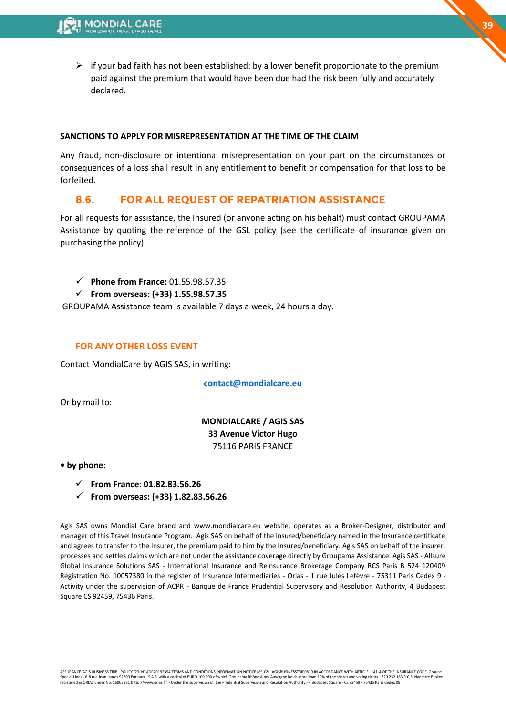$\triangleright$  if your bad faith has not been established: by a lower benefit proportionate to the premium paid against the premium that would have been due had the risk been fully and accurately declared.

#### **SANCTIONS TO APPLY FOR MISREPRESENTATION AT THE TIME OF THE CLAIM**

Any fraud, non-disclosure or intentional misrepresentation on your part on the circumstances or consequences of a loss shall result in any entitlement to benefit or compensation for that loss to be forfeited.

### **8.6. FOR ALL REQUEST OF REPATRIATION ASSISTANCE**

For all requests for assistance, the Insured (or anyone acting on his behalf) must contact GROUPAMA Assistance by quoting the reference of the GSL policy (see the certificate of insurance given on purchasing the policy):

- ✓ **Phone from France:** 01.55.98.57.35
- ✓ **From overseas: (+33) 1.55.98.57.35**

GROUPAMA Assistance team is available 7 days a week, 24 hours a day.

#### **FOR ANY OTHER LOSS EVENT**

Contact MondialCare by AGIS SAS, in writing:

**[contact@mondialcare.eu](mailto:contact@mondialcare.eu)**

Or by mail to:

### **MONDIALCARE / AGIS SAS 33 Avenue Victor Hugo**  75116 PARIS FRANCE

**• by phone:**

- ✓ **From France: 01.82.83.56.26**
- ✓ **From overseas: (+33) 1.82.83.56.26**

Agis SAS owns Mondial Care brand and www.mondialcare.eu website, operates as a Broker-Designer, distributor and manager of this Travel Insurance Program. Agis SAS on behalf of the insured/beneficiary named in the Insurance certificate and agrees to transfer to the Insurer, the premium paid to him by the Insured/beneficiary. Agis SAS on behalf of the insurer, processes and settles claims which are not under the assistance coverage directly by Groupama Assistance. Agis SAS - Allsure Global Insurance Solutions SAS - International Insurance and Reinsurance Brokerage Company RCS Paris B 524 120409 Registration No. 10057380 in the register of Insurance Intermediaries - Orias - 1 rue Jules Lefèvre - 75311 Paris Cedex 9 - Activity under the supervision of ACPR - Banque de France Prudential Supervisory and Resolution Authority, 4 Budapest Square CS 92459, 75436 Paris.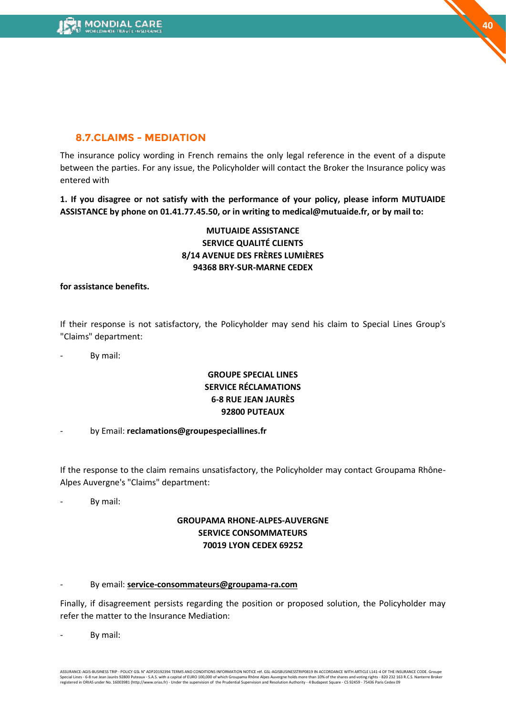

### **8.7.CLAIMS - MEDIATION**

The insurance policy wording in French remains the only legal reference in the event of a dispute between the parties. For any issue, the Policyholder will contact the Broker the Insurance policy was entered with

**1. If you disagree or not satisfy with the performance of your policy, please inform MUTUAIDE ASSISTANCE by phone on 01.41.77.45.50, or in writing to medical@mutuaide.fr, or by mail to:**

### **MUTUAIDE ASSISTANCE SERVICE QUALITÉ CLIENTS 8/14 AVENUE DES FRÈRES LUMIÈRES 94368 BRY-SUR-MARNE CEDEX**

#### **for assistance benefits.**

If their response is not satisfactory, the Policyholder may send his claim to Special Lines Group's "Claims" department:

By mail:

### **GROUPE SPECIAL LINES SERVICE RÉCLAMATIONS 6-8 RUE JEAN JAURÈS 92800 PUTEAUX**

- by Email: **reclamations@groupespeciallines.fr**

If the response to the claim remains unsatisfactory, the Policyholder may contact Groupama Rhône-Alpes Auvergne's "Claims" department:

By mail:

#### **GROUPAMA RHONE-ALPES-AUVERGNE SERVICE CONSOMMATEURS 70019 LYON CEDEX 69252**

#### - By email: **service-consommateurs@groupama-ra.com**

Finally, if disagreement persists regarding the position or proposed solution, the Policyholder may refer the matter to the Insurance Mediation:

By mail: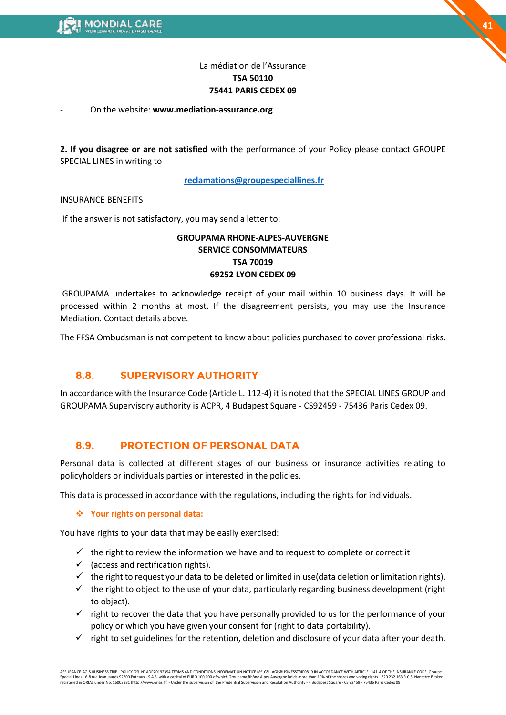# **41**

### La médiation de l'Assurance **TSA 50110 75441 PARIS CEDEX 09**

#### - On the website: **www.mediation-assurance.org**

**2. If you disagree or are not satisfied** with the performance of your Policy please contact GROUPE SPECIAL LINES in writing to

**[reclamations@groupespeciallines.fr](mailto:reclamations@groupespeciallines.fr)**

#### INSURANCE BENEFITS

If the answer is not satisfactory, you may send a letter to:

#### **GROUPAMA RHONE-ALPES-AUVERGNE SERVICE CONSOMMATEURS TSA 70019 69252 LYON CEDEX 09**

GROUPAMA undertakes to acknowledge receipt of your mail within 10 business days. It will be processed within 2 months at most. If the disagreement persists, you may use the Insurance Mediation. Contact details above.

The FFSA Ombudsman is not competent to know about policies purchased to cover professional risks.

### **8.8. SUPERVISORY AUTHORITY**

In accordance with the Insurance Code (Article L. 112-4) it is noted that the SPECIAL LINES GROUP and GROUPAMA Supervisory authority is ACPR, 4 Budapest Square - CS92459 - 75436 Paris Cedex 09.

### **8.9. PROTECTION OF PERSONAL DATA**

Personal data is collected at different stages of our business or insurance activities relating to policyholders or individuals parties or interested in the policies.

This data is processed in accordance with the regulations, including the rights for individuals.

#### ❖ **Your rights on personal data:**

You have rights to your data that may be easily exercised:

- $\checkmark$  the right to review the information we have and to request to complete or correct it
- $\checkmark$  (access and rectification rights).
- $\checkmark$  the right to request your data to be deleted or limited in use(data deletion or limitation rights).
- ✓ the right to object to the use of your data, particularly regarding business development (right to object).
- $\checkmark$  right to recover the data that you have personally provided to us for the performance of your policy or which you have given your consent for (right to data portability).
- $\checkmark$  right to set guidelines for the retention, deletion and disclosure of your data after your death.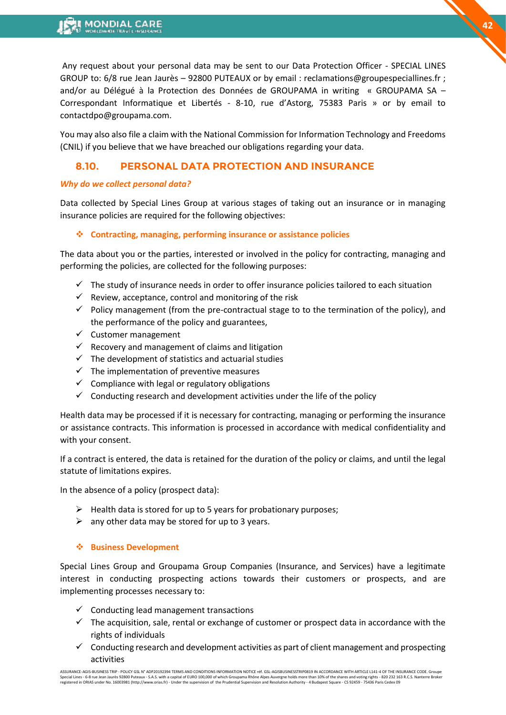Any request about your personal data may be sent to our Data Protection Officer - SPECIAL LINES GROUP to: 6/8 rue Jean Jaurès – 92800 PUTEAUX or by email : reclamations@groupespeciallines.fr ; and/or au Délégué à la Protection des Données de GROUPAMA in writing « GROUPAMA SA – Correspondant Informatique et Libertés - 8-10, rue d'Astorg, 75383 Paris » or by email to contactdpo@groupama.com.

You may also also file a claim with the National Commission for Information Technology and Freedoms (CNIL) if you believe that we have breached our obligations regarding your data.

### **8.10. PERSONAL DATA PROTECTION AND INSURANCE**

#### *Why do we collect personal data?*

Data collected by Special Lines Group at various stages of taking out an insurance or in managing insurance policies are required for the following objectives:

#### ❖ **Contracting, managing, performing insurance or assistance policies**

The data about you or the parties, interested or involved in the policy for contracting, managing and performing the policies, are collected for the following purposes:

- $\checkmark$  The study of insurance needs in order to offer insurance policies tailored to each situation
- $\checkmark$  Review, acceptance, control and monitoring of the risk
- $\checkmark$  Policy management (from the pre-contractual stage to to the termination of the policy), and the performance of the policy and guarantees,
- ✓ Customer management
- $\checkmark$  Recovery and management of claims and litigation
- $\checkmark$  The development of statistics and actuarial studies
- $\checkmark$  The implementation of preventive measures
- $\checkmark$  Compliance with legal or regulatory obligations
- $\checkmark$  Conducting research and development activities under the life of the policy

Health data may be processed if it is necessary for contracting, managing or performing the insurance or assistance contracts. This information is processed in accordance with medical confidentiality and with your consent.

If a contract is entered, the data is retained for the duration of the policy or claims, and until the legal statute of limitations expires.

In the absence of a policy (prospect data):

- $\triangleright$  Health data is stored for up to 5 years for probationary purposes;
- $\triangleright$  any other data may be stored for up to 3 years.

#### ❖ **Business Development**

Special Lines Group and Groupama Group Companies (Insurance, and Services) have a legitimate interest in conducting prospecting actions towards their customers or prospects, and are implementing processes necessary to:

- $\checkmark$  Conducting lead management transactions
- $\checkmark$  The acquisition, sale, rental or exchange of customer or prospect data in accordance with the rights of individuals
- $\checkmark$  Conducting research and development activities as part of client management and prospecting activities

ASSURANCE-AGIS-BUSINESS TRIP - POLICY GSL N° ADP20192394 TERMS AND CONDITIONS INFORMATION NOTICE réf. GSL-AGISBUSINESSTRIP0819 IN ACCORDANCE WITH ARTICLE L141-4 OF THE INSURANCE CODE. Groupe<br>Special Lines - 6-8 rue Jean Ja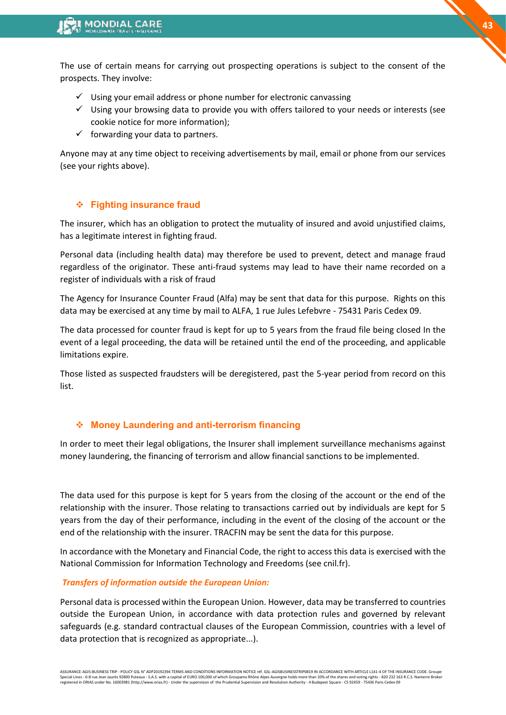The use of certain means for carrying out prospecting operations is subject to the consent of the prospects. They involve:

- $\checkmark$  Using your email address or phone number for electronic canvassing
- $\checkmark$  Using your browsing data to provide you with offers tailored to your needs or interests (see cookie notice for more information);
- $\checkmark$  forwarding your data to partners.

Anyone may at any time object to receiving advertisements by mail, email or phone from our services (see your rights above).

### ❖ **Fighting insurance fraud**

The insurer, which has an obligation to protect the mutuality of insured and avoid unjustified claims, has a legitimate interest in fighting fraud.

Personal data (including health data) may therefore be used to prevent, detect and manage fraud regardless of the originator. These anti-fraud systems may lead to have their name recorded on a register of individuals with a risk of fraud

The Agency for Insurance Counter Fraud (Alfa) may be sent that data for this purpose. Rights on this data may be exercised at any time by mail to ALFA, 1 rue Jules Lefebvre - 75431 Paris Cedex 09.

The data processed for counter fraud is kept for up to 5 years from the fraud file being closed In the event of a legal proceeding, the data will be retained until the end of the proceeding, and applicable limitations expire.

Those listed as suspected fraudsters will be deregistered, past the 5-year period from record on this list.

#### ❖ **Money Laundering and anti-terrorism financing**

In order to meet their legal obligations, the Insurer shall implement surveillance mechanisms against money laundering, the financing of terrorism and allow financial sanctions to be implemented.

The data used for this purpose is kept for 5 years from the closing of the account or the end of the relationship with the insurer. Those relating to transactions carried out by individuals are kept for 5 years from the day of their performance, including in the event of the closing of the account or the end of the relationship with the insurer. TRACFIN may be sent the data for this purpose.

In accordance with the Monetary and Financial Code, the right to access this data is exercised with the National Commission for Information Technology and Freedoms (see cnil.fr).

#### *Transfers of information outside the European Union:*

Personal data is processed within the European Union. However, data may be transferred to countries outside the European Union, in accordance with data protection rules and governed by relevant safeguards (e.g. standard contractual clauses of the European Commission, countries with a level of data protection that is recognized as appropriate...).

<sup>.&</sup>lt;br>ASSURANCE-AGIS-BUSINESS TRIP - POLICY GSL N° ADP20192394 TERMS AND CONDITIONS INFORMATION NOTICE réf. GSL-AGISBUSINESSTRIP0819 IN ACCORDANCE WITH ARTICLE L141-4 OF THE INSURANCE CODE. Gi Special Lines - 6-8 rue Jean Jaurès 92800 Puteaux - S.A.S. with a capital of EURO 100,000 of which Groupama Rhône Alpes Auvergne holds more than 10% of the shares and voting rights - 820 232 163 R.C.S. Nanterre Broker<br>regi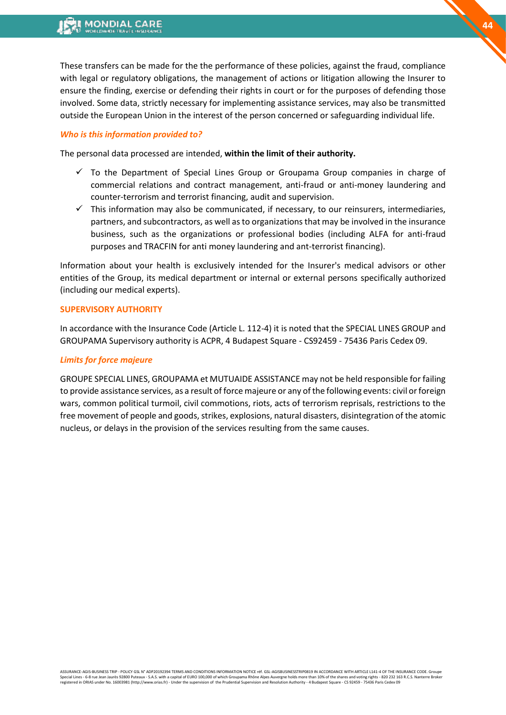These transfers can be made for the the performance of these policies, against the fraud, compliance with legal or regulatory obligations, the management of actions or litigation allowing the Insurer to ensure the finding, exercise or defending their rights in court or for the purposes of defending those involved. Some data, strictly necessary for implementing assistance services, may also be transmitted outside the European Union in the interest of the person concerned or safeguarding individual life.

#### *Who is this information provided to?*

The personal data processed are intended, **within the limit of their authority.**

- $\checkmark$  To the Department of Special Lines Group or Groupama Group companies in charge of commercial relations and contract management, anti-fraud or anti-money laundering and counter-terrorism and terrorist financing, audit and supervision.
- $\checkmark$  This information may also be communicated, if necessary, to our reinsurers, intermediaries, partners, and subcontractors, as well as to organizations that may be involved in the insurance business, such as the organizations or professional bodies (including ALFA for anti-fraud purposes and TRACFIN for anti money laundering and ant-terrorist financing).

Information about your health is exclusively intended for the Insurer's medical advisors or other entities of the Group, its medical department or internal or external persons specifically authorized (including our medical experts).

#### **SUPERVISORY AUTHORITY**

In accordance with the Insurance Code (Article L. 112-4) it is noted that the SPECIAL LINES GROUP and GROUPAMA Supervisory authority is ACPR, 4 Budapest Square - CS92459 - 75436 Paris Cedex 09.

#### *Limits for force majeure*

GROUPE SPECIAL LINES, GROUPAMA et MUTUAIDE ASSISTANCE may not be held responsible for failing to provide assistance services, as a result of force majeure or any of the following events: civil or foreign wars, common political turmoil, civil commotions, riots, acts of terrorism reprisals, restrictions to the free movement of people and goods, strikes, explosions, natural disasters, disintegration of the atomic nucleus, or delays in the provision of the services resulting from the same causes.

**44**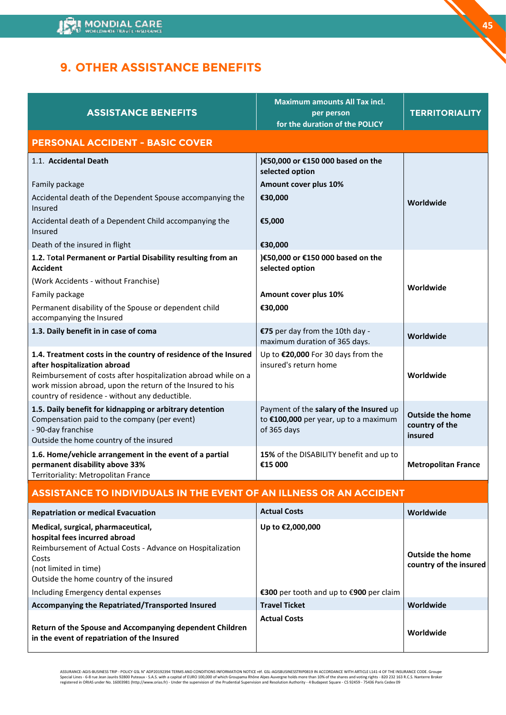# <span id="page-44-0"></span>**9. OTHER ASSISTANCE BENEFITS**

| <b>ASSISTANCE BENEFITS</b>                                                                                                                                                                                                                                                        | <b>Maximum amounts All Tax incl.</b><br>per person<br>for the duration of the POLICY            | <b>TERRITORIALITY</b>                                |
|-----------------------------------------------------------------------------------------------------------------------------------------------------------------------------------------------------------------------------------------------------------------------------------|-------------------------------------------------------------------------------------------------|------------------------------------------------------|
| <b>PERSONAL ACCIDENT - BASIC COVER</b>                                                                                                                                                                                                                                            |                                                                                                 |                                                      |
| 1.1. Accidental Death                                                                                                                                                                                                                                                             | )€50,000 or €150 000 based on the<br>selected option                                            |                                                      |
| Family package                                                                                                                                                                                                                                                                    | Amount cover plus 10%                                                                           |                                                      |
| Accidental death of the Dependent Spouse accompanying the<br>Insured                                                                                                                                                                                                              | €30,000                                                                                         | Worldwide                                            |
| Accidental death of a Dependent Child accompanying the<br>Insured                                                                                                                                                                                                                 | €5,000                                                                                          |                                                      |
| Death of the insured in flight                                                                                                                                                                                                                                                    | €30,000                                                                                         |                                                      |
| 1.2. Total Permanent or Partial Disability resulting from an<br><b>Accident</b>                                                                                                                                                                                                   | )€50,000 or €150 000 based on the<br>selected option                                            |                                                      |
| (Work Accidents - without Franchise)                                                                                                                                                                                                                                              |                                                                                                 | Worldwide                                            |
| Family package                                                                                                                                                                                                                                                                    | Amount cover plus 10%                                                                           |                                                      |
| Permanent disability of the Spouse or dependent child<br>accompanying the Insured                                                                                                                                                                                                 | €30,000                                                                                         |                                                      |
| 1.3. Daily benefit in in case of coma                                                                                                                                                                                                                                             | €75 per day from the 10th day -<br>maximum duration of 365 days.                                | Worldwide                                            |
| 1.4. Treatment costs in the country of residence of the Insured<br>after hospitalization abroad<br>Reimbursement of costs after hospitalization abroad while on a<br>work mission abroad, upon the return of the Insured to his<br>country of residence - without any deductible. | Up to €20,000 For 30 days from the<br>insured's return home                                     | Worldwide                                            |
| 1.5. Daily benefit for kidnapping or arbitrary detention<br>Compensation paid to the company (per event)<br>- 90-day franchise<br>Outside the home country of the insured                                                                                                         | Payment of the salary of the Insured up<br>to €100,000 per year, up to a maximum<br>of 365 days | <b>Outside the home</b><br>country of the<br>insured |
| 1.6. Home/vehicle arrangement in the event of a partial<br>permanent disability above 33%<br>Territoriality: Metropolitan France                                                                                                                                                  | 15% of the DISABILITY benefit and up to<br>€15 000                                              | <b>Metropolitan France</b>                           |
| <b>ASSISTANCE TO INDIVIDUALS IN THE EVENT OF AN ILLNESS OR AN ACCIDENT</b>                                                                                                                                                                                                        |                                                                                                 |                                                      |
| <b>Repatriation or medical Evacuation</b>                                                                                                                                                                                                                                         | <b>Actual Costs</b>                                                                             | Worldwide                                            |
| Medical, surgical, pharmaceutical,<br>hospital fees incurred abroad<br>Reimbursement of Actual Costs - Advance on Hospitalization<br>Costs<br>(not limited in time)<br>Outside the home country of the insured                                                                    | Up to €2,000,000                                                                                | <b>Outside the home</b><br>country of the insured    |
| Including Emergency dental expenses<br>Accompanying the Repatriated/Transported Insured                                                                                                                                                                                           | €300 per tooth and up to €900 per claim<br><b>Travel Ticket</b>                                 | Worldwide                                            |
| Return of the Spouse and Accompanying dependent Children<br>in the event of repatriation of the Insured                                                                                                                                                                           | <b>Actual Costs</b>                                                                             | Worldwide                                            |

ASSURANCE-AGIS-BUSINESS TRIP - POLICY GSL N° ADP20192394 TERMS AND CONDITIONS INFORMATION NOTICE réf. GSL-AGISBUSINESSTRIP0819 IN ACCORDANCE WITH ARTICLE L141-4 OF THE INSURANCE CODE. Groupe<br>Special Lines - 6-8 rue Jean Ja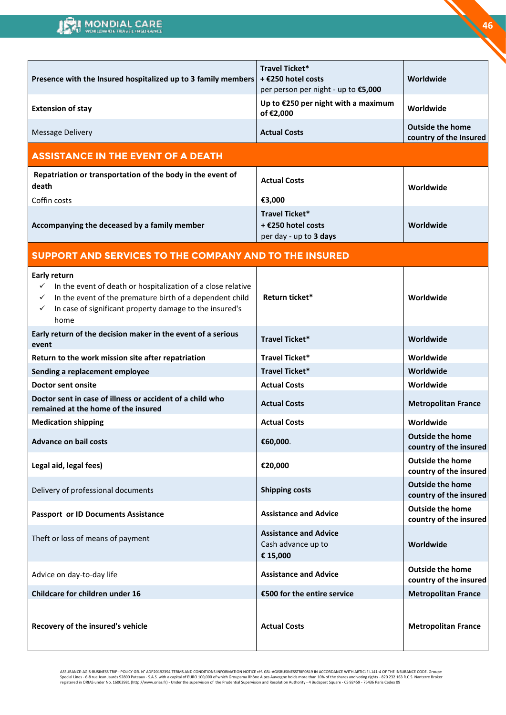| Presence with the Insured hospitalized up to 3 family members                                                                                                                                                                                      | Travel Ticket*<br>+ €250 hotel costs<br>per person per night - up to €5,000 | Worldwide                                         |
|----------------------------------------------------------------------------------------------------------------------------------------------------------------------------------------------------------------------------------------------------|-----------------------------------------------------------------------------|---------------------------------------------------|
| <b>Extension of stay</b>                                                                                                                                                                                                                           | Up to €250 per night with a maximum<br>of €2,000                            | Worldwide                                         |
| <b>Message Delivery</b>                                                                                                                                                                                                                            | <b>Actual Costs</b>                                                         | <b>Outside the home</b><br>country of the Insured |
| <b>ASSISTANCE IN THE EVENT OF A DEATH</b>                                                                                                                                                                                                          |                                                                             |                                                   |
| Repatriation or transportation of the body in the event of<br>death                                                                                                                                                                                | <b>Actual Costs</b>                                                         | Worldwide                                         |
| Coffin costs                                                                                                                                                                                                                                       | €3,000                                                                      |                                                   |
| Accompanying the deceased by a family member                                                                                                                                                                                                       | <b>Travel Ticket*</b><br>+ €250 hotel costs<br>per day - up to 3 days       | Worldwide                                         |
| SUPPORT AND SERVICES TO THE COMPANY AND TO THE INSURED                                                                                                                                                                                             |                                                                             |                                                   |
| <b>Early return</b><br>In the event of death or hospitalization of a close relative<br>$\checkmark$<br>In the event of the premature birth of a dependent child<br>In case of significant property damage to the insured's<br>$\checkmark$<br>home | Return ticket*                                                              | Worldwide                                         |
| Early return of the decision maker in the event of a serious<br>event                                                                                                                                                                              | Travel Ticket*                                                              | Worldwide                                         |
| Return to the work mission site after repatriation                                                                                                                                                                                                 | Travel Ticket*                                                              | Worldwide                                         |
| Sending a replacement employee                                                                                                                                                                                                                     | <b>Travel Ticket*</b>                                                       | Worldwide                                         |
| <b>Doctor sent onsite</b>                                                                                                                                                                                                                          | <b>Actual Costs</b>                                                         | Worldwide                                         |
| Doctor sent in case of illness or accident of a child who<br>remained at the home of the insured                                                                                                                                                   | <b>Actual Costs</b>                                                         | <b>Metropolitan France</b>                        |
| <b>Medication shipping</b>                                                                                                                                                                                                                         | <b>Actual Costs</b>                                                         | Worldwide                                         |
| <b>Advance on bail costs</b>                                                                                                                                                                                                                       | €60,000.                                                                    | <b>Outside the home</b><br>country of the insured |
| Legal aid, legal fees)                                                                                                                                                                                                                             | €20,000                                                                     | <b>Outside the home</b><br>country of the insured |
| Delivery of professional documents                                                                                                                                                                                                                 | <b>Shipping costs</b>                                                       | <b>Outside the home</b><br>country of the insured |
| <b>Passport or ID Documents Assistance</b>                                                                                                                                                                                                         | <b>Assistance and Advice</b>                                                | <b>Outside the home</b><br>country of the insured |
| Theft or loss of means of payment                                                                                                                                                                                                                  | <b>Assistance and Advice</b><br>Cash advance up to<br>€ 15,000              | Worldwide                                         |
| Advice on day-to-day life                                                                                                                                                                                                                          | <b>Assistance and Advice</b>                                                | <b>Outside the home</b><br>country of the insured |
| Childcare for children under 16                                                                                                                                                                                                                    | €500 for the entire service                                                 | <b>Metropolitan France</b>                        |
| Recovery of the insured's vehicle                                                                                                                                                                                                                  | <b>Actual Costs</b>                                                         | <b>Metropolitan France</b>                        |

ASSURANCE-AGIS-BUSINESS TRIP - POLICY GSL N° ADP20192394 TERMS AND CONDITIONS INFORMATION NOTICE réf. GSL-AGISBUSINESSTRIP0819 IN ACCORDANCE WITH ARTICLE L141-4 OF THE INSURANCE CODE. Groupe<br>Special Lines - 6-8 rue Jean Ja